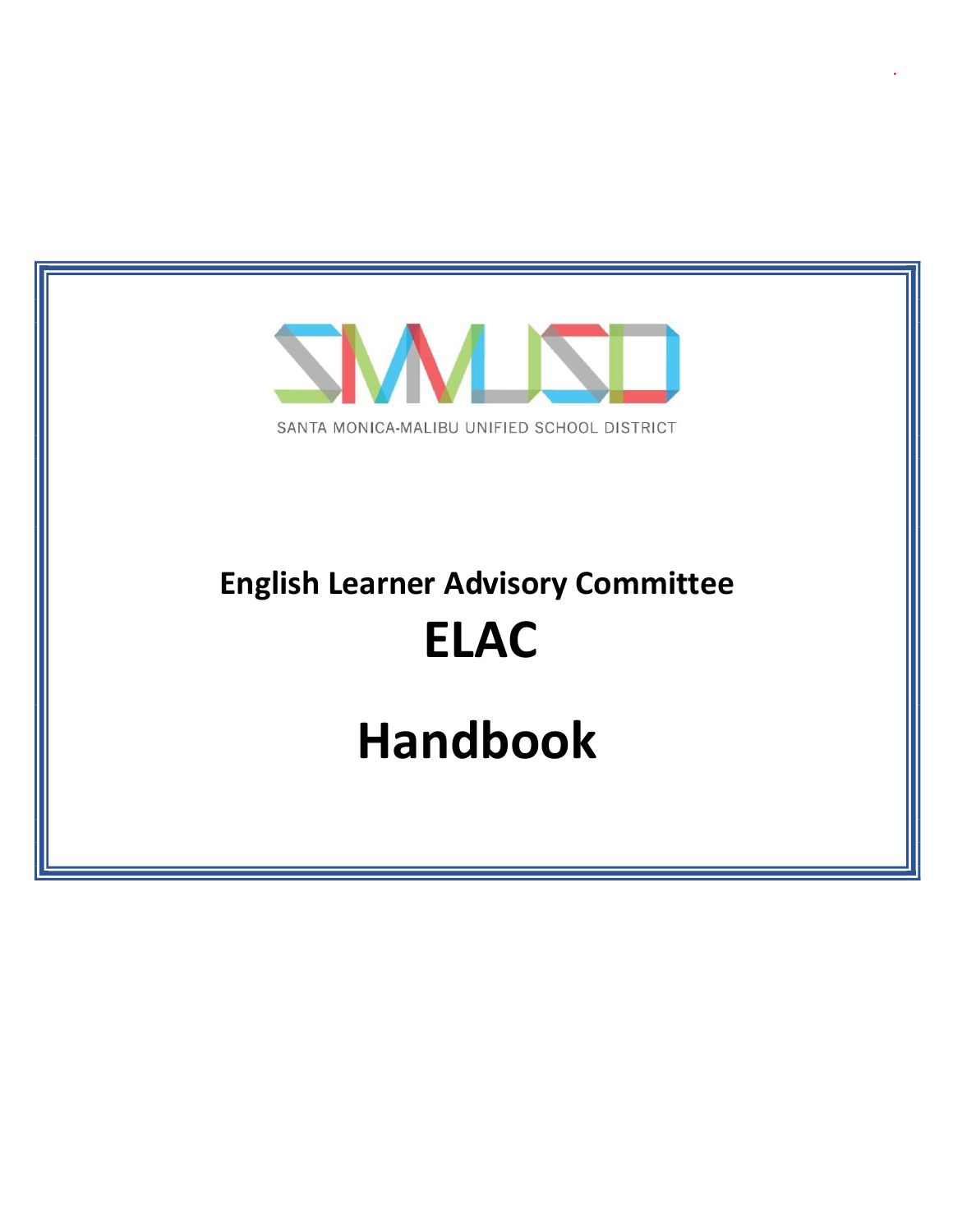

.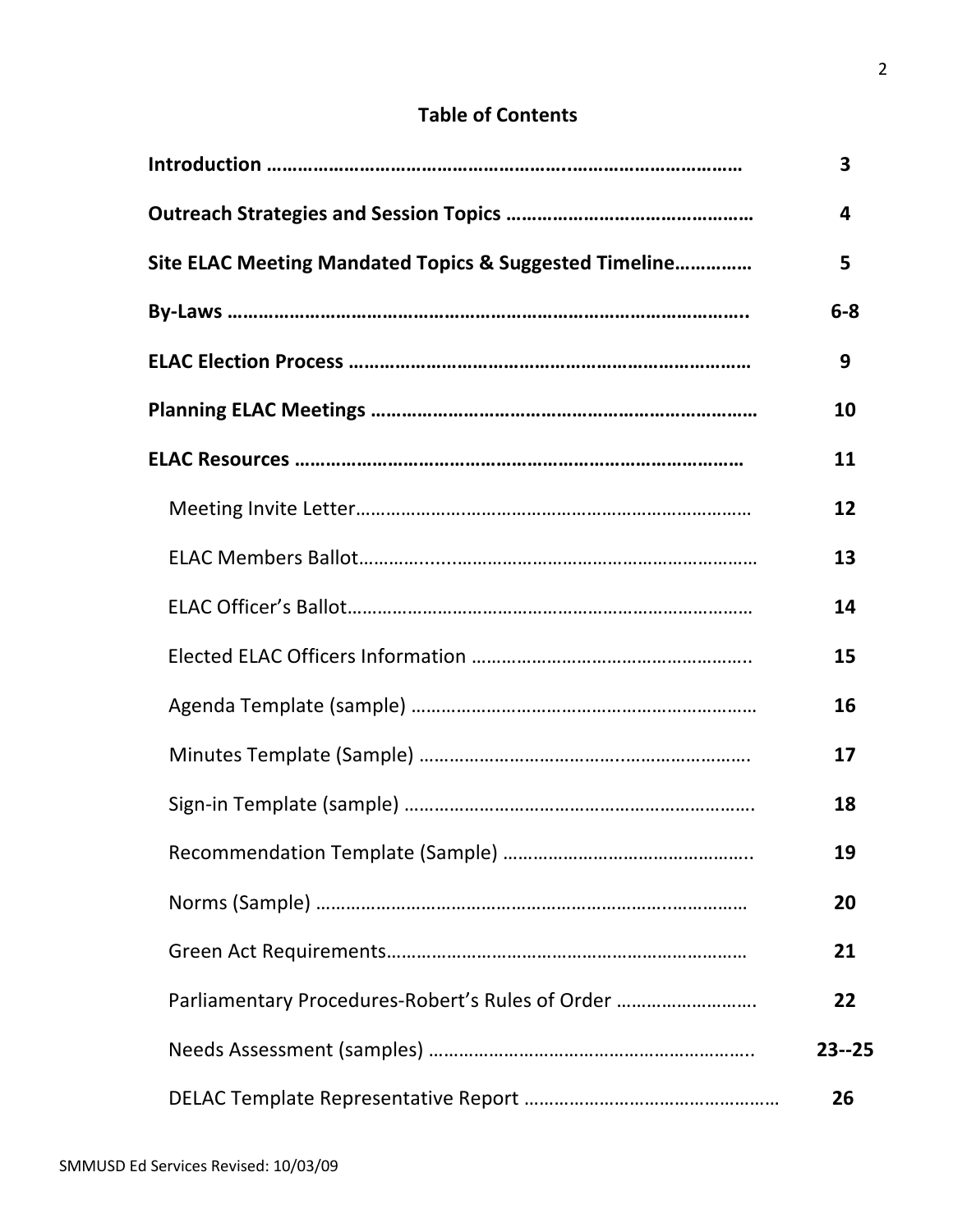## **Table of Contents**

|                                                        | 3         |
|--------------------------------------------------------|-----------|
|                                                        | 4         |
| Site ELAC Meeting Mandated Topics & Suggested Timeline | 5         |
|                                                        | $6-8$     |
|                                                        | 9         |
|                                                        | 10        |
|                                                        | 11        |
|                                                        | 12        |
|                                                        | 13        |
|                                                        | 14        |
|                                                        | 15        |
|                                                        | 16        |
|                                                        | 17        |
|                                                        | 18        |
|                                                        | 19        |
|                                                        | 20        |
|                                                        | 21        |
| Parliamentary Procedures-Robert's Rules of Order       | 22        |
|                                                        | $23 - 25$ |
|                                                        | 26        |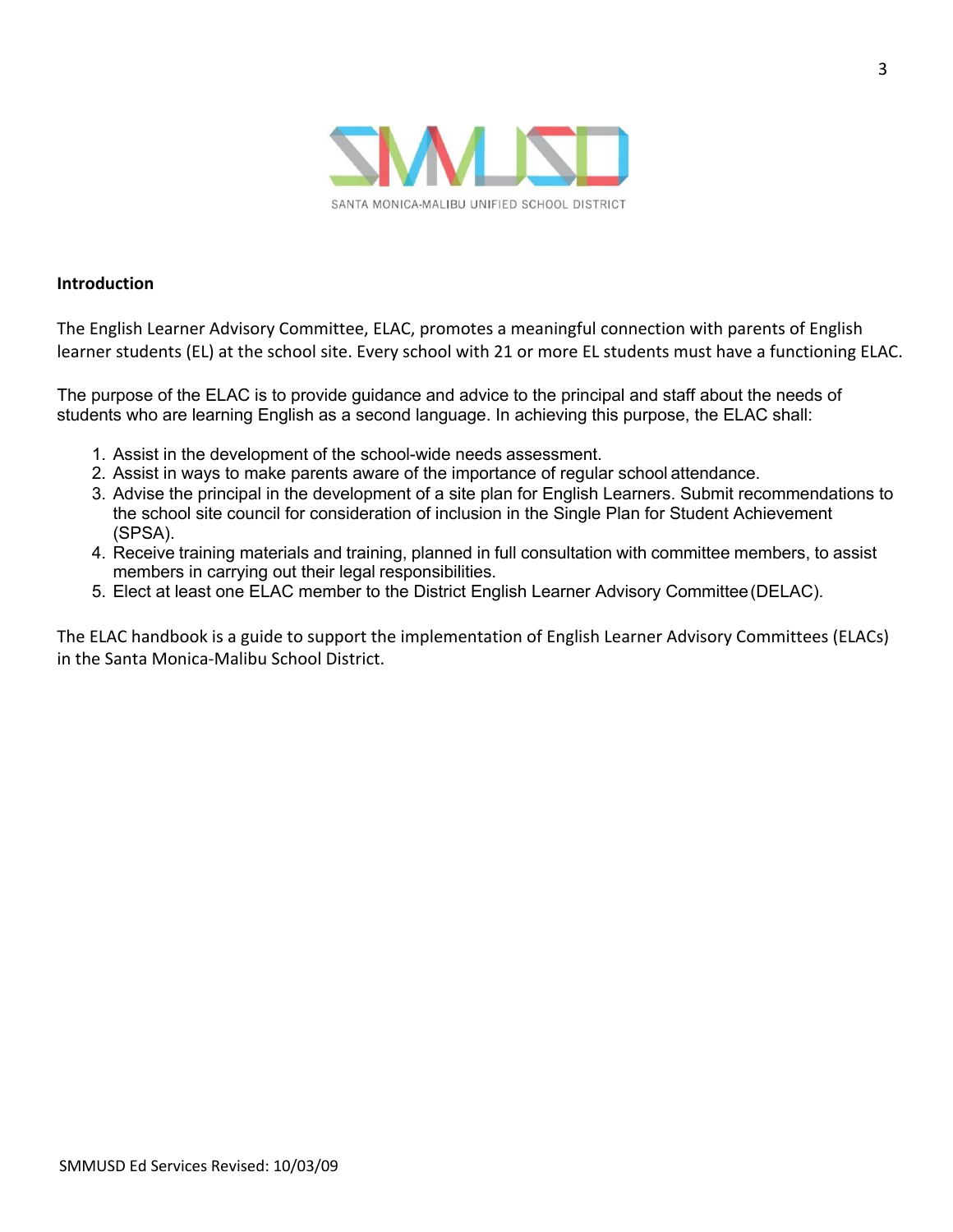

#### **Introduction**

The English Learner Advisory Committee, ELAC, promotes a meaningful connection with parents of English learner students (EL) at the school site. Every school with 21 or more EL students must have a functioning ELAC.

The purpose of the ELAC is to provide guidance and advice to the principal and staff about the needs of students who are learning English as a second language. In achieving this purpose, the ELAC shall:

- 1. Assist in the development of the school-wide needs assessment.
- 2. Assist in ways to make parents aware of the importance of regular school attendance.
- 3. Advise the principal in the development of a site plan for English Learners. Submit recommendations to the school site council for consideration of inclusion in the Single Plan for Student Achievement (SPSA).
- 4. Receive training materials and training, planned in full consultation with committee members, to assist members in carrying out their legal responsibilities.
- 5. Elect at least one ELAC member to the District English Learner Advisory Committee(DELAC).

The ELAC handbook is a guide to support the implementation of English Learner Advisory Committees (ELACs) in the Santa Monica-Malibu School District.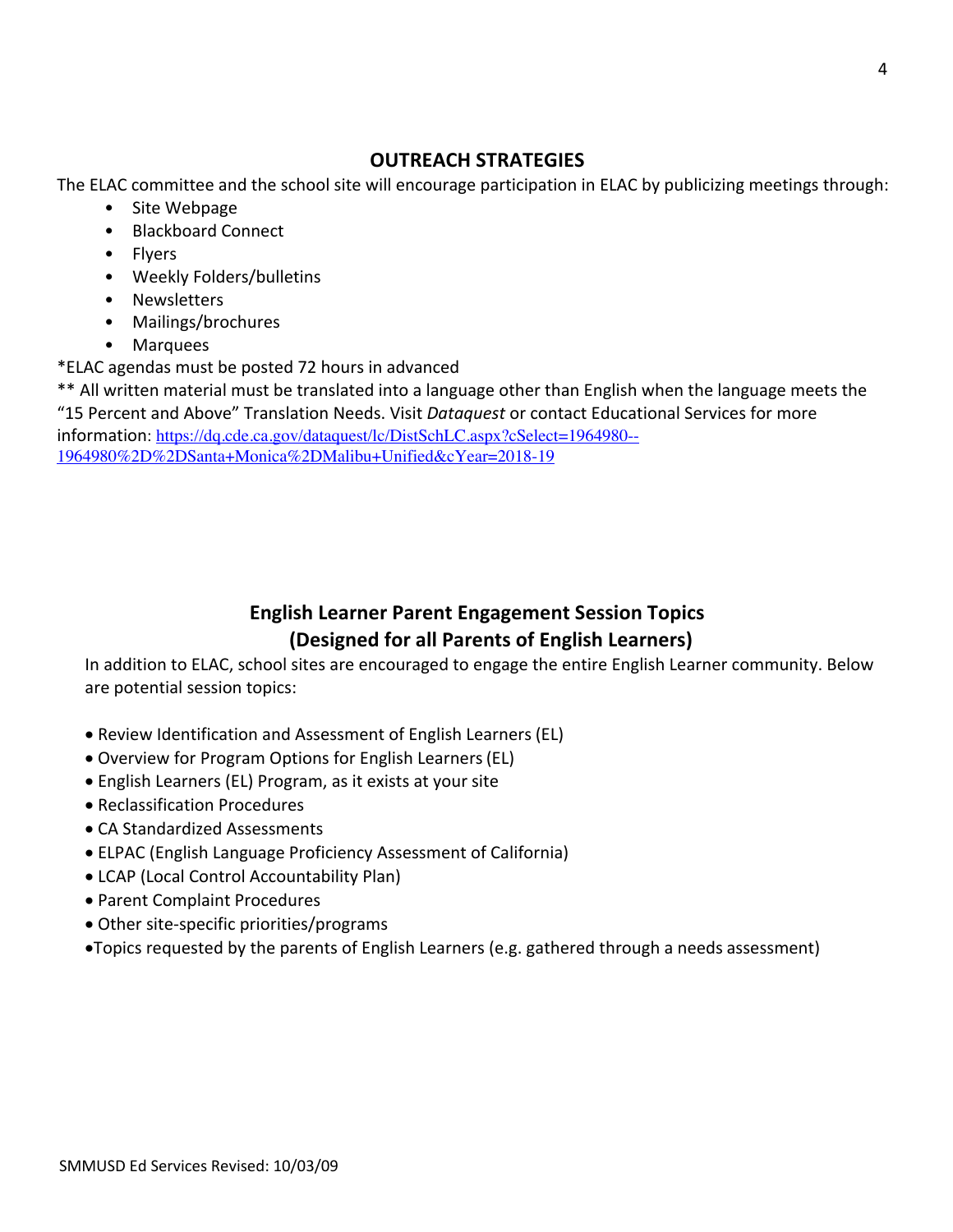## **OUTREACH STRATEGIES**

The ELAC committee and the school site will encourage participation in ELAC by publicizing meetings through:

- Site Webpage
- Blackboard Connect
- Flyers
- Weekly Folders/bulletins
- Newsletters
- Mailings/brochures
- Marquees

\*ELAC agendas must be posted 72 hours in advanced

\*\* All written material must be translated into a language other than English when the language meets the "15 Percent and Above" Translation Needs. Visit *Dataquest* or contact Educational Services for more

information: https://dq.cde.ca.gov/dataquest/lc/DistSchLC.aspx?cSelect=1964980--1964980%2D%2DSanta+Monica%2DMalibu+Unified&cYear=2018-19

## **English Learner Parent Engagement Session Topics (Designed for all Parents of English Learners)**

In addition to ELAC, school sites are encouraged to engage the entire English Learner community. Below are potential session topics:

- Review Identification and Assessment of English Learners (EL)
- Overview for Program Options for English Learners(EL)
- English Learners (EL) Program, as it exists at your site
- Reclassification Procedures
- CA Standardized Assessments
- ELPAC (English Language Proficiency Assessment of California)
- LCAP (Local Control Accountability Plan)
- Parent Complaint Procedures
- Other site-specific priorities/programs
- •Topics requested by the parents of English Learners (e.g. gathered through a needs assessment)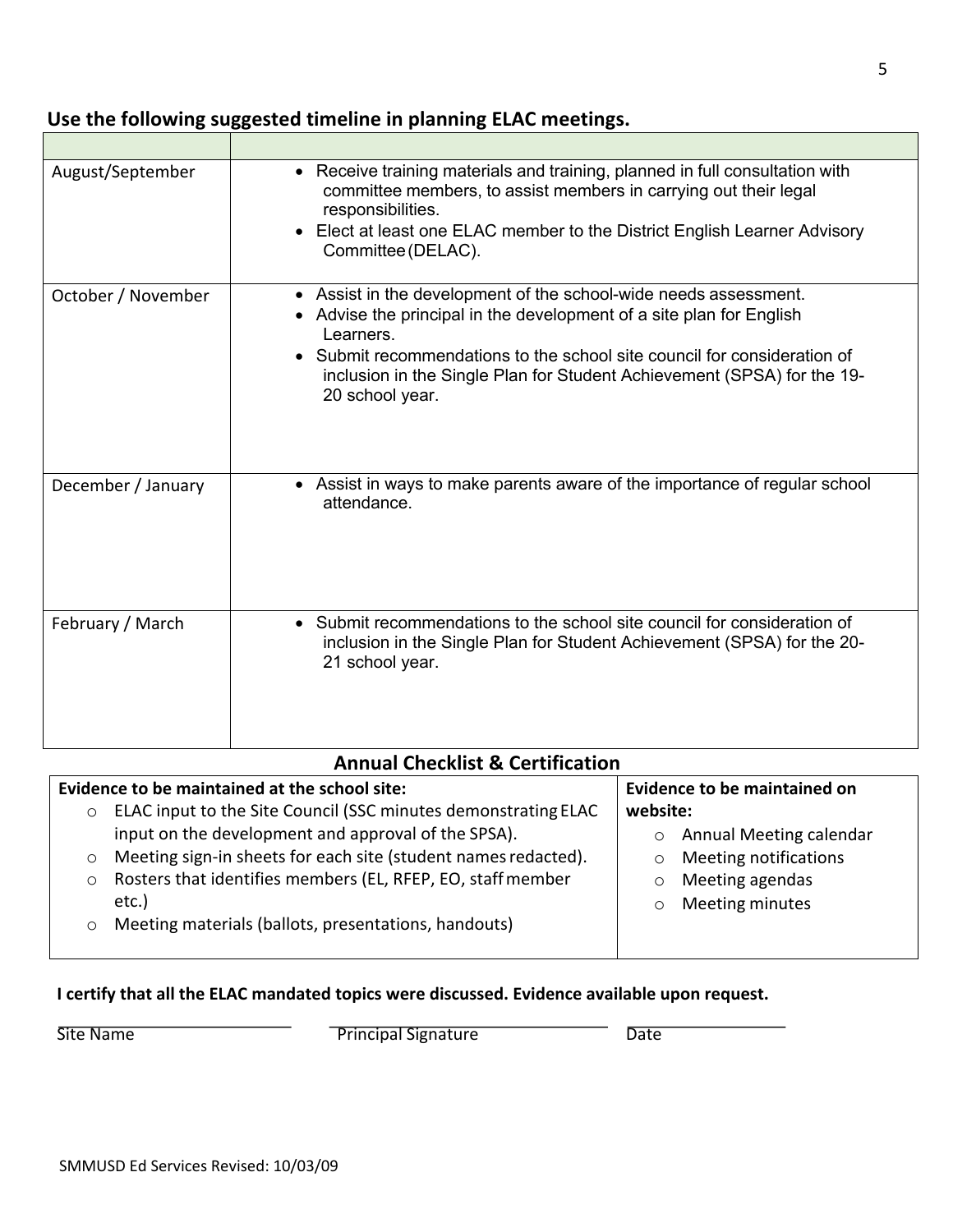## **Use the following suggested timeline in planning ELAC meetings.**

| August/September   | • Receive training materials and training, planned in full consultation with<br>committee members, to assist members in carrying out their legal<br>responsibilities.<br>• Elect at least one ELAC member to the District English Learner Advisory<br>Committee (DELAC).                                                  |
|--------------------|---------------------------------------------------------------------------------------------------------------------------------------------------------------------------------------------------------------------------------------------------------------------------------------------------------------------------|
| October / November | Assist in the development of the school-wide needs assessment.<br>Advise the principal in the development of a site plan for English<br>Learners.<br>Submit recommendations to the school site council for consideration of<br>inclusion in the Single Plan for Student Achievement (SPSA) for the 19-<br>20 school year. |
| December / January | • Assist in ways to make parents aware of the importance of regular school<br>attendance.                                                                                                                                                                                                                                 |
| February / March   | • Submit recommendations to the school site council for consideration of<br>inclusion in the Single Plan for Student Achievement (SPSA) for the 20-<br>21 school year.                                                                                                                                                    |

## **Annual Checklist & Certification**

|         | Evidence to be maintained at the school site:                  |          | <b>Evidence to be maintained on</b> |
|---------|----------------------------------------------------------------|----------|-------------------------------------|
| $\circ$ | ELAC input to the Site Council (SSC minutes demonstrating ELAC | website: |                                     |
|         | input on the development and approval of the SPSA).            |          | Annual Meeting calendar             |
| $\circ$ | Meeting sign-in sheets for each site (student names redacted). | $\circ$  | Meeting notifications               |
| $\circ$ | Rosters that identifies members (EL, RFEP, EO, staff member    | $\circ$  | Meeting agendas                     |
|         | etc.)                                                          | $\circ$  | Meeting minutes                     |
| $\circ$ | Meeting materials (ballots, presentations, handouts)           |          |                                     |
|         |                                                                |          |                                     |

## **I certify that all the ELAC mandated topics were discussed. Evidence available upon request.**

Site Name Date Date Principal Signature Date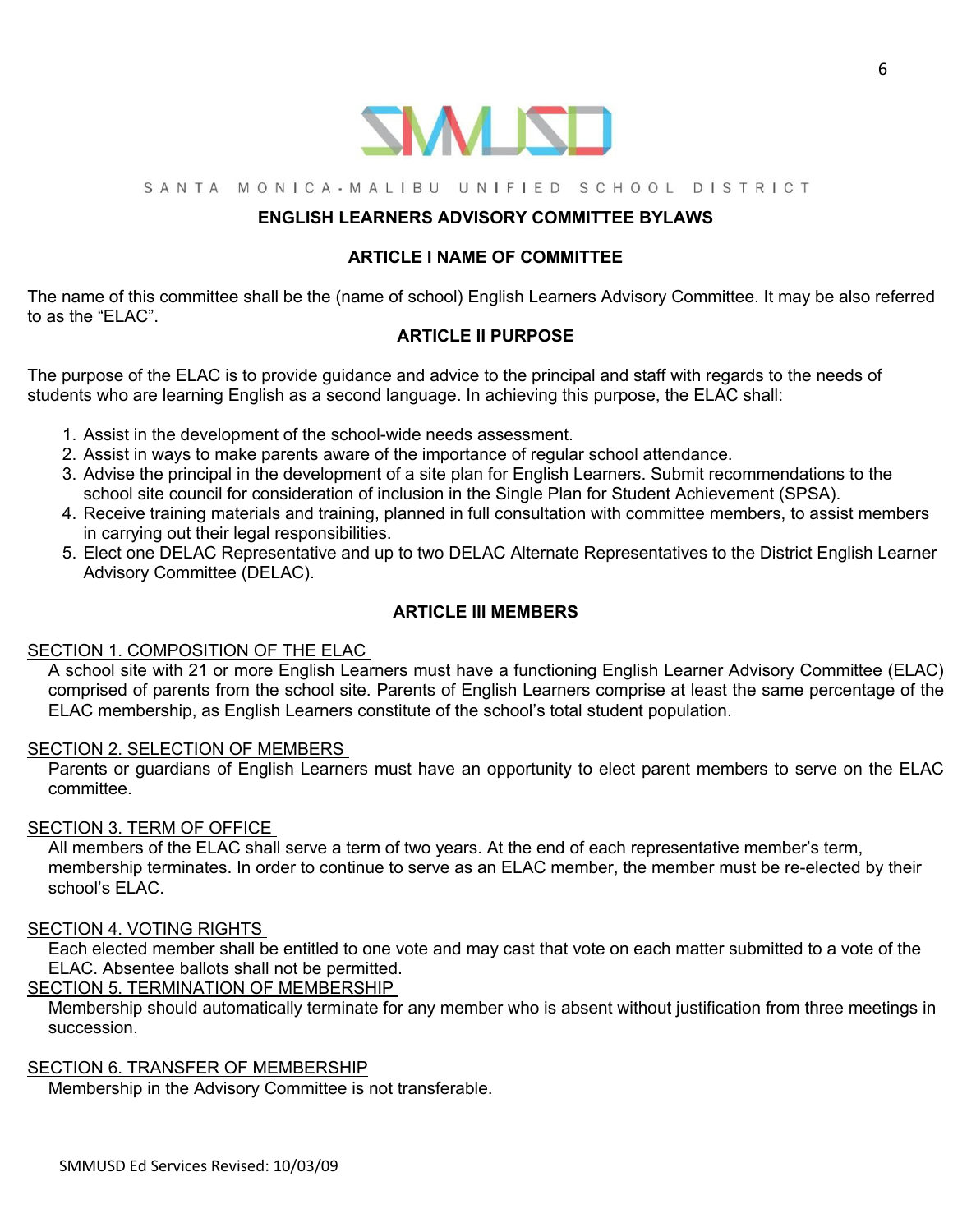

#### SANTA MONICA-MALIBU UNIFIED SCHOOL DISTRICT

## **ENGLISH LEARNERS ADVISORY COMMITTEE BYLAWS**

## **ARTICLE I NAME OF COMMITTEE**

The name of this committee shall be the (name of school) English Learners Advisory Committee. It may be also referred to as the "ELAC".

## **ARTICLE II PURPOSE**

The purpose of the ELAC is to provide guidance and advice to the principal and staff with regards to the needs of students who are learning English as a second language. In achieving this purpose, the ELAC shall:

- 1. Assist in the development of the school-wide needs assessment.
- 2. Assist in ways to make parents aware of the importance of regular school attendance.
- 3. Advise the principal in the development of a site plan for English Learners. Submit recommendations to the school site council for consideration of inclusion in the Single Plan for Student Achievement (SPSA).
- 4. Receive training materials and training, planned in full consultation with committee members, to assist members in carrying out their legal responsibilities.
- 5. Elect one DELAC Representative and up to two DELAC Alternate Representatives to the District English Learner Advisory Committee (DELAC).

## **ARTICLE III MEMBERS**

## SECTION 1. COMPOSITION OF THE ELAC

A school site with 21 or more English Learners must have a functioning English Learner Advisory Committee (ELAC) comprised of parents from the school site. Parents of English Learners comprise at least the same percentage of the ELAC membership, as English Learners constitute of the school's total student population.

#### SECTION 2. SELECTION OF MEMBERS

Parents or guardians of English Learners must have an opportunity to elect parent members to serve on the ELAC committee.

#### SECTION 3. TERM OF OFFICE

All members of the ELAC shall serve a term of two years. At the end of each representative member's term, membership terminates. In order to continue to serve as an ELAC member, the member must be re-elected by their school's ELAC.

## SECTION 4. VOTING RIGHTS

Each elected member shall be entitled to one vote and may cast that vote on each matter submitted to a vote of the ELAC. Absentee ballots shall not be permitted.

## SECTION 5. TERMINATION OF MEMBERSHIP

Membership should automatically terminate for any member who is absent without justification from three meetings in succession.

#### SECTION 6. TRANSFER OF MEMBERSHIP

Membership in the Advisory Committee is not transferable.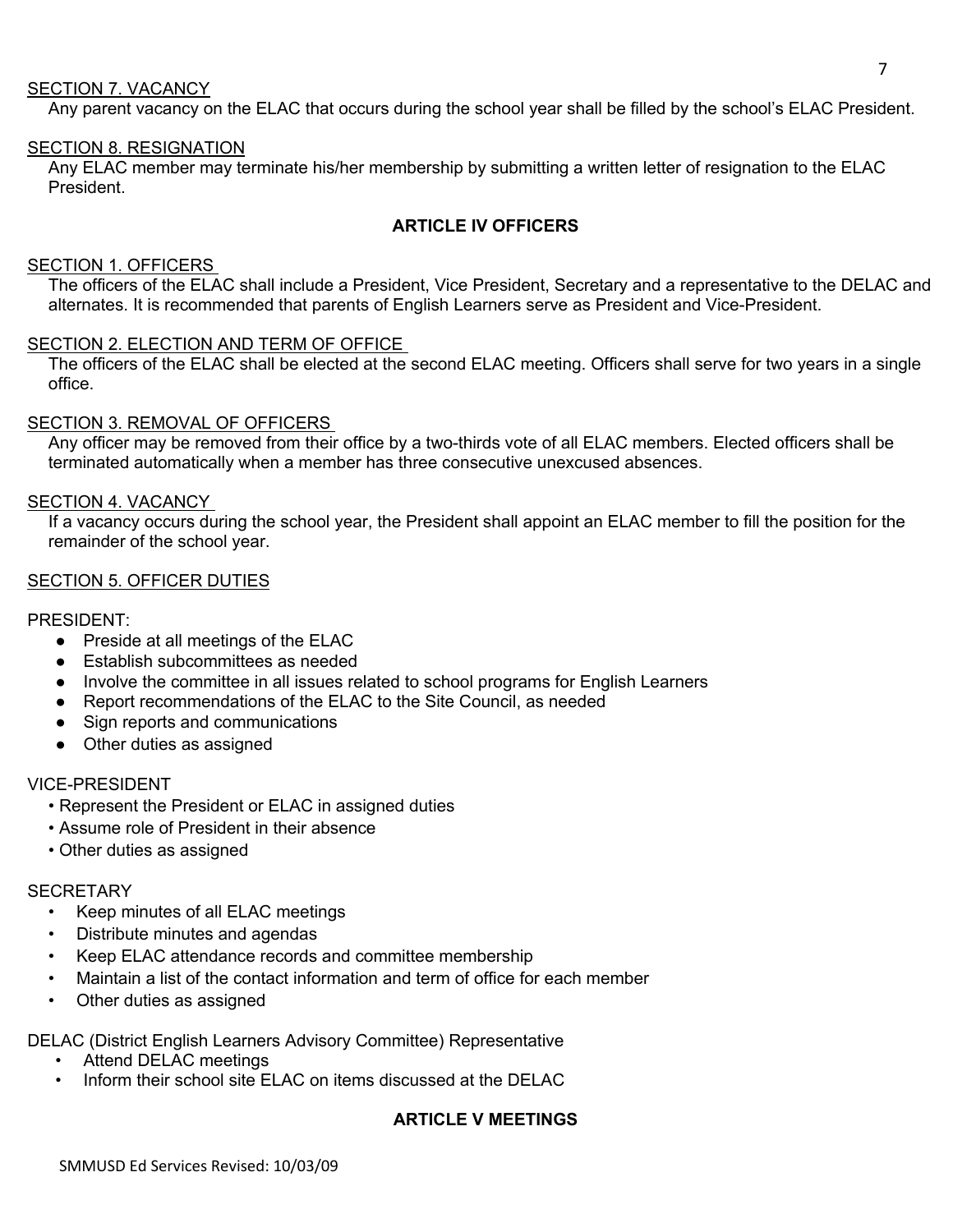#### SECTION 7. VACANCY

Any parent vacancy on the ELAC that occurs during the school year shall be filled by the school's ELAC President.

## SECTION 8. RESIGNATION

Any ELAC member may terminate his/her membership by submitting a written letter of resignation to the ELAC President.

#### **ARTICLE IV OFFICERS**

#### SECTION 1. OFFICERS

The officers of the ELAC shall include a President, Vice President, Secretary and a representative to the DELAC and alternates. It is recommended that parents of English Learners serve as President and Vice-President.

#### SECTION 2. ELECTION AND TERM OF OFFICE

The officers of the ELAC shall be elected at the second ELAC meeting. Officers shall serve for two years in a single office.

#### SECTION 3. REMOVAL OF OFFICERS

Any officer may be removed from their office by a two-thirds vote of all ELAC members. Elected officers shall be terminated automatically when a member has three consecutive unexcused absences.

#### SECTION 4. VACANCY

If a vacancy occurs during the school year, the President shall appoint an ELAC member to fill the position for the remainder of the school year.

#### SECTION 5. OFFICER DUTIES

#### PRESIDENT:

- Preside at all meetings of the ELAC
- Establish subcommittees as needed
- Involve the committee in all issues related to school programs for English Learners
- Report recommendations of the ELAC to the Site Council, as needed
- Sign reports and communications
- Other duties as assigned

#### VICE-PRESIDENT

- Represent the President or ELAC in assigned duties
- Assume role of President in their absence
- Other duties as assigned

#### **SECRETARY**

- Keep minutes of all ELAC meetings
- Distribute minutes and agendas
- Keep ELAC attendance records and committee membership
- Maintain a list of the contact information and term of office for each member
- Other duties as assigned

DELAC (District English Learners Advisory Committee) Representative

- Attend DELAC meetings
- Inform their school site ELAC on items discussed at the DELAC

## **ARTICLE V MEETINGS**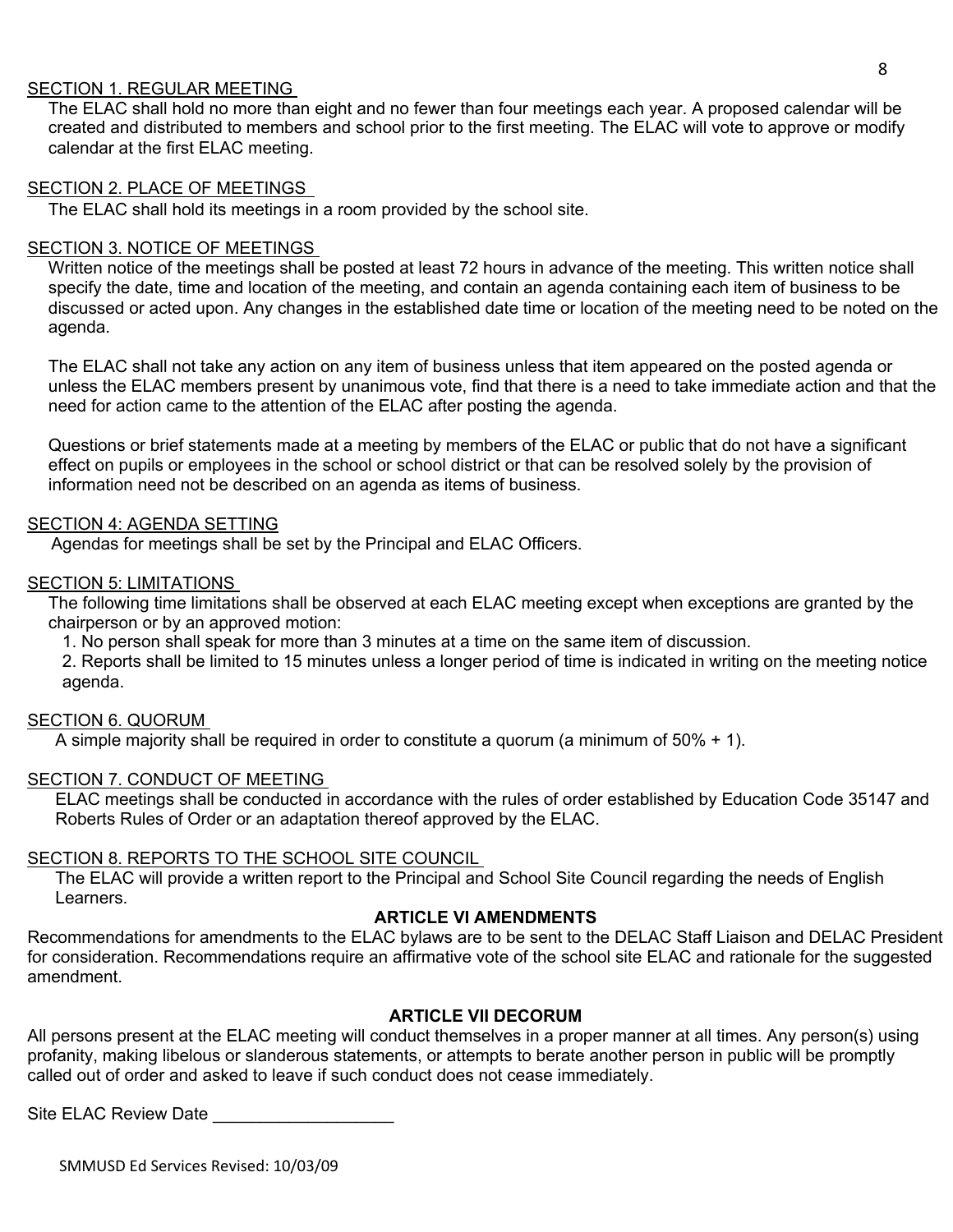## SECTION 1. REGULAR MEETING

The ELAC shall hold no more than eight and no fewer than four meetings each year. A proposed calendar will be created and distributed to members and school prior to the first meeting. The ELAC will vote to approve or modify calendar at the first ELAC meeting.

#### SECTION 2. PLACE OF MEETINGS

The ELAC shall hold its meetings in a room provided by the school site.

## SECTION 3. NOTICE OF MEETINGS

Written notice of the meetings shall be posted at least 72 hours in advance of the meeting. This written notice shall specify the date, time and location of the meeting, and contain an agenda containing each item of business to be discussed or acted upon. Any changes in the established date time or location of the meeting need to be noted on the agenda.

The ELAC shall not take any action on any item of business unless that item appeared on the posted agenda or unless the ELAC members present by unanimous vote, find that there is a need to take immediate action and that the need for action came to the attention of the ELAC after posting the agenda.

Questions or brief statements made at a meeting by members of the ELAC or public that do not have a significant effect on pupils or employees in the school or school district or that can be resolved solely by the provision of information need not be described on an agenda as items of business.

## SECTION 4: AGENDA SETTING

Agendas for meetings shall be set by the Principal and ELAC Officers.

#### SECTION 5: LIMITATIONS

The following time limitations shall be observed at each ELAC meeting except when exceptions are granted by the chairperson or by an approved motion:

1. No person shall speak for more than 3 minutes at a time on the same item of discussion.

2. Reports shall be limited to 15 minutes unless a longer period of time is indicated in writing on the meeting notice agenda.

#### SECTION 6. QUORUM

A simple majority shall be required in order to constitute a quorum (a minimum of  $50\% + 1$ ).

#### SECTION 7. CONDUCT OF MEETING

ELAC meetings shall be conducted in accordance with the rules of order established by Education Code 35147 and Roberts Rules of Order or an adaptation thereof approved by the ELAC.

#### SECTION 8. REPORTS TO THE SCHOOL SITE COUNCIL

The ELAC will provide a written report to the Principal and School Site Council regarding the needs of English Learners.

## **ARTICLE VI AMENDMENTS**

Recommendations for amendments to the ELAC bylaws are to be sent to the DELAC Staff Liaison and DELAC President for consideration. Recommendations require an affirmative vote of the school site ELAC and rationale for the suggested amendment.

## **ARTICLE VII DECORUM**

All persons present at the ELAC meeting will conduct themselves in a proper manner at all times. Any person(s) using profanity, making libelous or slanderous statements, or attempts to berate another person in public will be promptly called out of order and asked to leave if such conduct does not cease immediately.

Site ELAC Review Date

SMMUSD Ed Services Revised: 10/03/09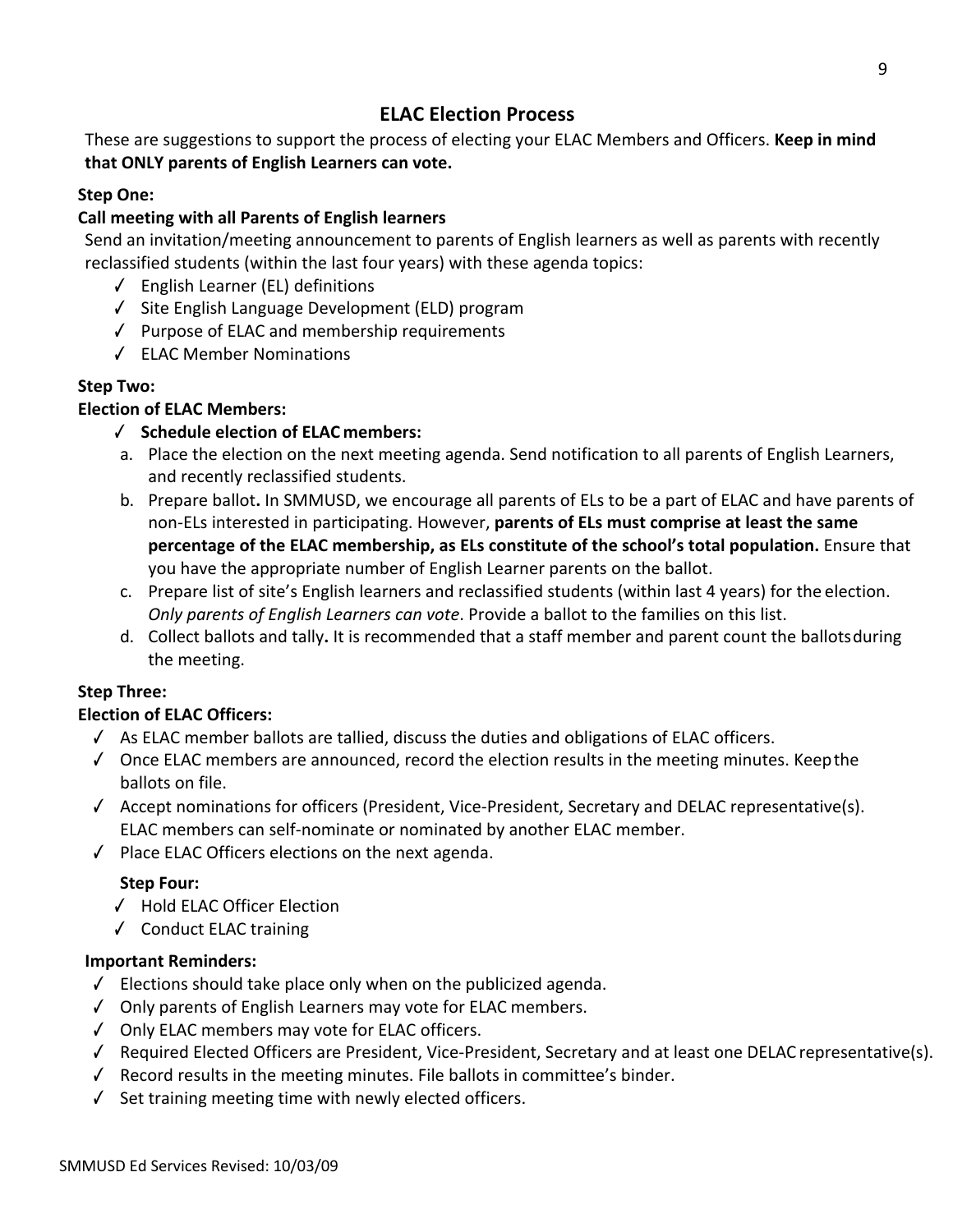## **ELAC Election Process**

These are suggestions to support the process of electing your ELAC Members and Officers. **Keep in mind that ONLY parents of English Learners can vote.**

## **Step One:**

## **Call meeting with all Parents of English learners**

Send an invitation/meeting announcement to parents of English learners as well as parents with recently reclassified students (within the last four years) with these agenda topics:

- $\sqrt{ }$  English Learner (EL) definitions
- $\sqrt{ }$  Site English Language Development (ELD) program
- $\sqrt{ }$  Purpose of ELAC and membership requirements
- ELAC Member Nominations

## **Step Two:**

## **Election of ELAC Members:**

## **Schedule election of ELAC members:**

- a. Place the election on the next meeting agenda. Send notification to all parents of English Learners, and recently reclassified students.
- b. Prepare ballot**.** In SMMUSD, we encourage all parents of ELs to be a part of ELAC and have parents of non-ELs interested in participating. However, **parents of ELs must comprise at least the same percentage of the ELAC membership, as ELs constitute of the school's total population.** Ensure that you have the appropriate number of English Learner parents on the ballot.
- c. Prepare list of site's English learners and reclassified students (within last 4 years) for the election. *Only parents of English Learners can vote*. Provide a ballot to the families on this list.
- d. Collect ballots and tally**.** It is recommended that a staff member and parent count the ballotsduring the meeting.

## **Step Three:**

## **Election of ELAC Officers:**

- $\triangle$  As ELAC member ballots are tallied, discuss the duties and obligations of ELAC officers.
- $\sqrt{ }$  Once ELAC members are announced, record the election results in the meeting minutes. Keep the ballots on file.
- Accept nominations for officers (President, Vice-President, Secretary and DELAC representative(s). ELAC members can self-nominate or nominated by another ELAC member.
- $\sqrt{ }$  Place ELAC Officers elections on the next agenda.

## **Step Four:**

- √ Hold ELAC Officer Election
- ↓ Conduct ELAC training

## **Important Reminders:**

- $\sqrt{\phantom{a}}$  Elections should take place only when on the publicized agenda.
- $\sqrt{ }$  Only parents of English Learners may vote for ELAC members.
- Only ELAC members may vote for ELAC officers.
- Required Elected Officers are President, Vice-President, Secretary and at least one DELAC representative(s).
- $\sqrt{ }$  Record results in the meeting minutes. File ballots in committee's binder.
- $\checkmark$  Set training meeting time with newly elected officers.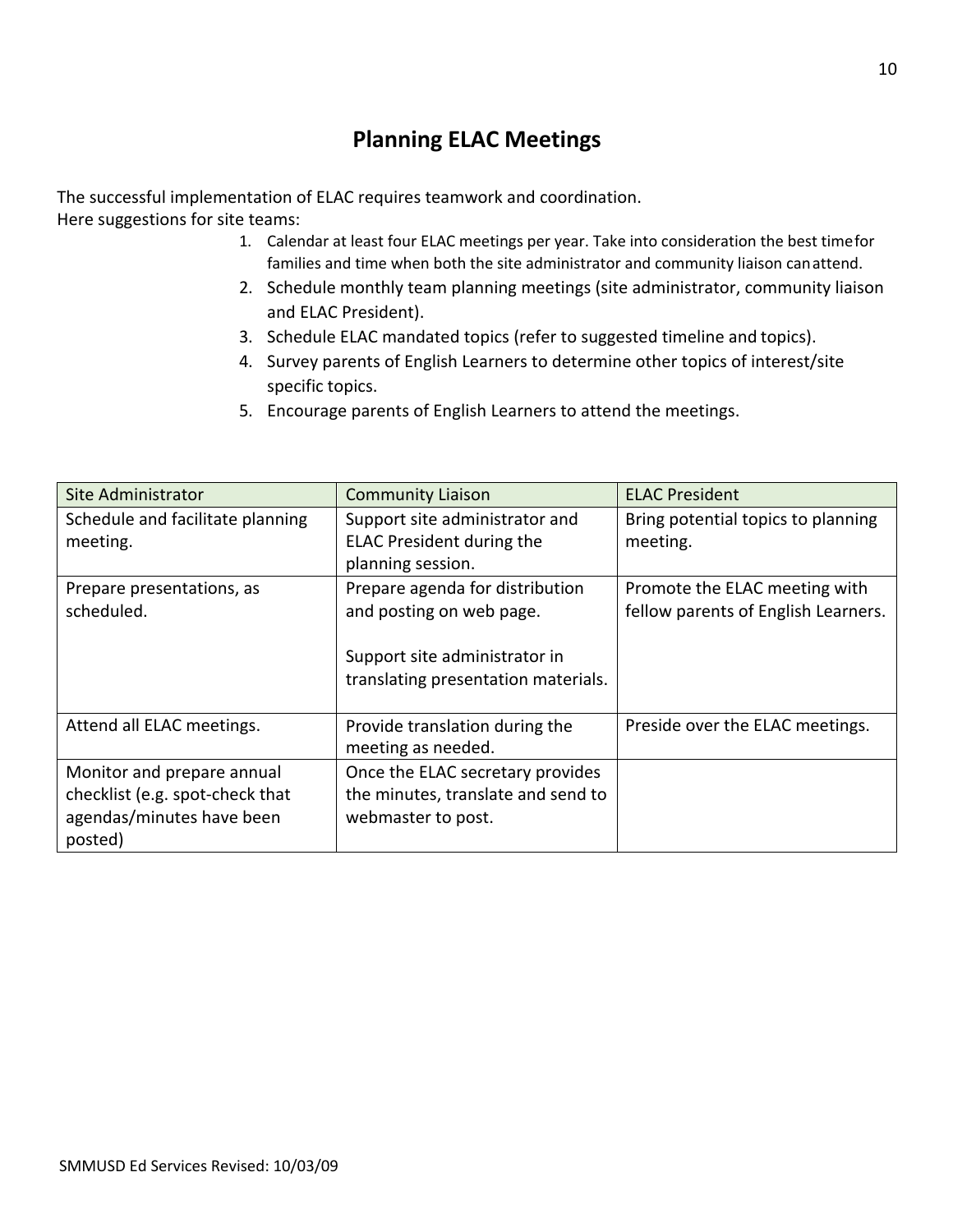## **Planning ELAC Meetings**

The successful implementation of ELAC requires teamwork and coordination. Here suggestions for site teams:

- 1. Calendar at least four ELAC meetings per year. Take into consideration the best timefor families and time when both the site administrator and community liaison canattend.
- 2. Schedule monthly team planning meetings (site administrator, community liaison and ELAC President).
- 3. Schedule ELAC mandated topics (refer to suggested timeline and topics).
- 4. Survey parents of English Learners to determine other topics of interest/site specific topics.
- 5. Encourage parents of English Learners to attend the meetings.

| Site Administrator               | <b>Community Liaison</b>            | <b>ELAC President</b>               |
|----------------------------------|-------------------------------------|-------------------------------------|
| Schedule and facilitate planning | Support site administrator and      | Bring potential topics to planning  |
| meeting.                         | <b>ELAC President during the</b>    | meeting.                            |
|                                  | planning session.                   |                                     |
| Prepare presentations, as        | Prepare agenda for distribution     | Promote the ELAC meeting with       |
| scheduled.                       | and posting on web page.            | fellow parents of English Learners. |
|                                  |                                     |                                     |
|                                  | Support site administrator in       |                                     |
|                                  | translating presentation materials. |                                     |
|                                  |                                     |                                     |
| Attend all ELAC meetings.        | Provide translation during the      | Preside over the ELAC meetings.     |
|                                  | meeting as needed.                  |                                     |
| Monitor and prepare annual       | Once the ELAC secretary provides    |                                     |
| checklist (e.g. spot-check that  | the minutes, translate and send to  |                                     |
| agendas/minutes have been        | webmaster to post.                  |                                     |
| posted)                          |                                     |                                     |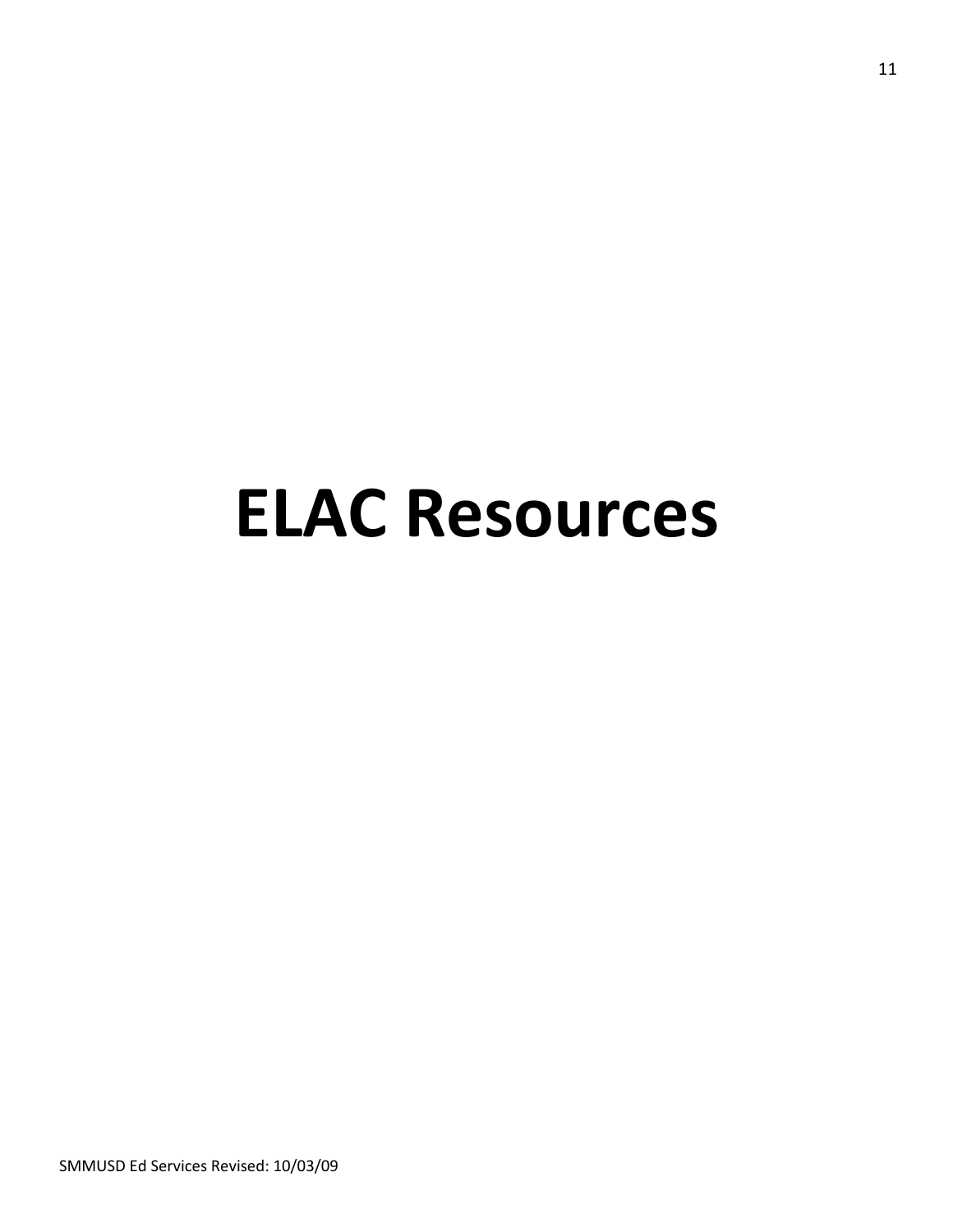# **ELAC Resources**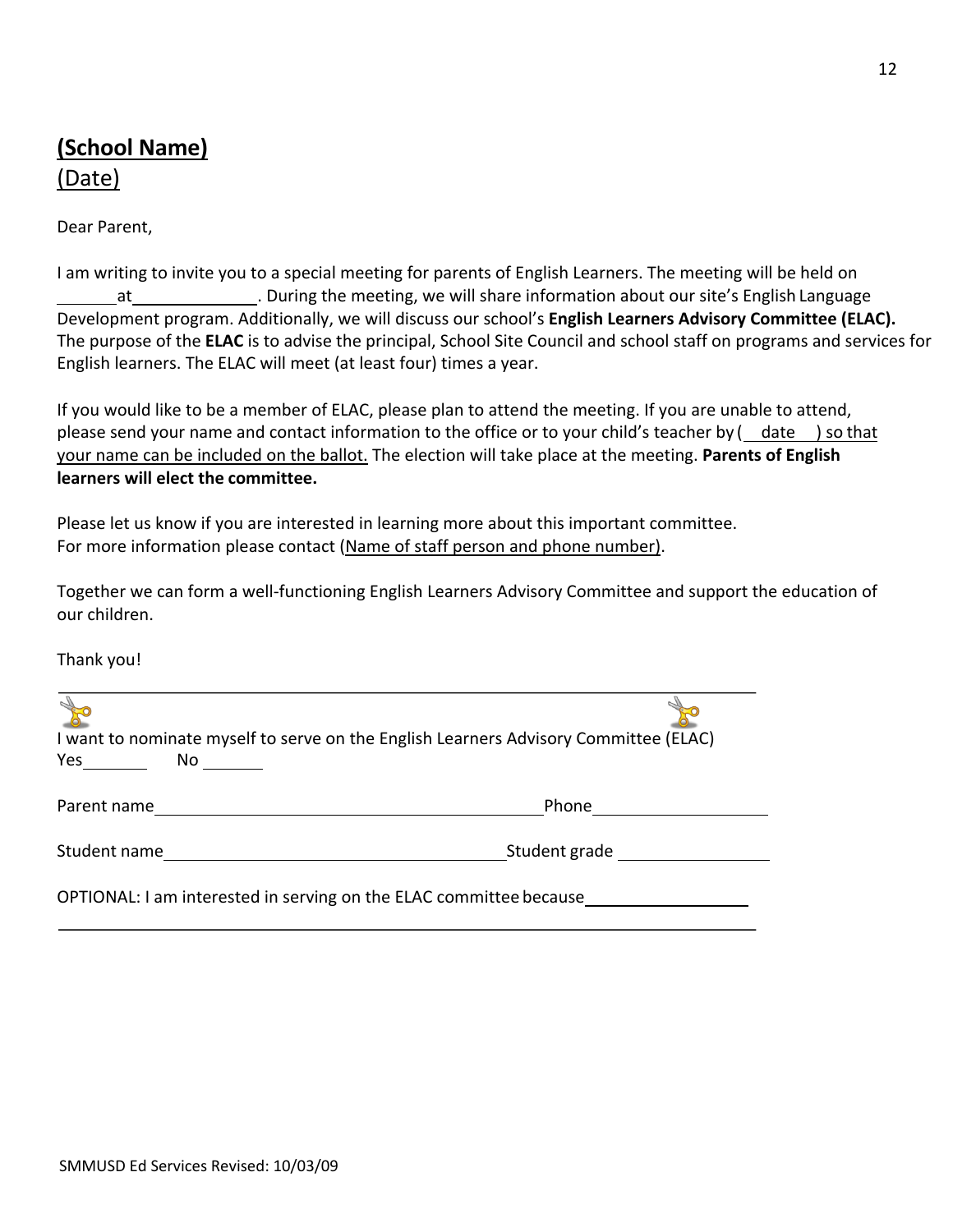## **(School Name)** (Date)

Dear Parent,

I am writing to invite you to a special meeting for parents of English Learners. The meeting will be held on at **1988 Lands** 20 Luring the meeting, we will share information about our site's English Language Development program. Additionally, we will discuss our school's **English Learners Advisory Committee (ELAC).** The purpose of the **ELAC** is to advise the principal, School Site Council and school staff on programs and services for English learners. The ELAC will meet (at least four) times a year.

If you would like to be a member of ELAC, please plan to attend the meeting. If you are unable to attend, please send your name and contact information to the office or to your child's teacher by (*date* ) so that your name can be included on the ballot. The election will take place at the meeting. **Parents of English learners will elect the committee.**

Please let us know if you are interested in learning more about this important committee. For more information please contact (Name of staff person and phone number).

Together we can form a well-functioning English Learners Advisory Committee and support the education of our children.

Thank you!

| I want to nominate myself to serve on the English Learners Advisory Committee (ELAC) |               |
|--------------------------------------------------------------------------------------|---------------|
|                                                                                      | Phone         |
| Student name                                                                         | Student grade |
| OPTIONAL: I am interested in serving on the ELAC committee because                   |               |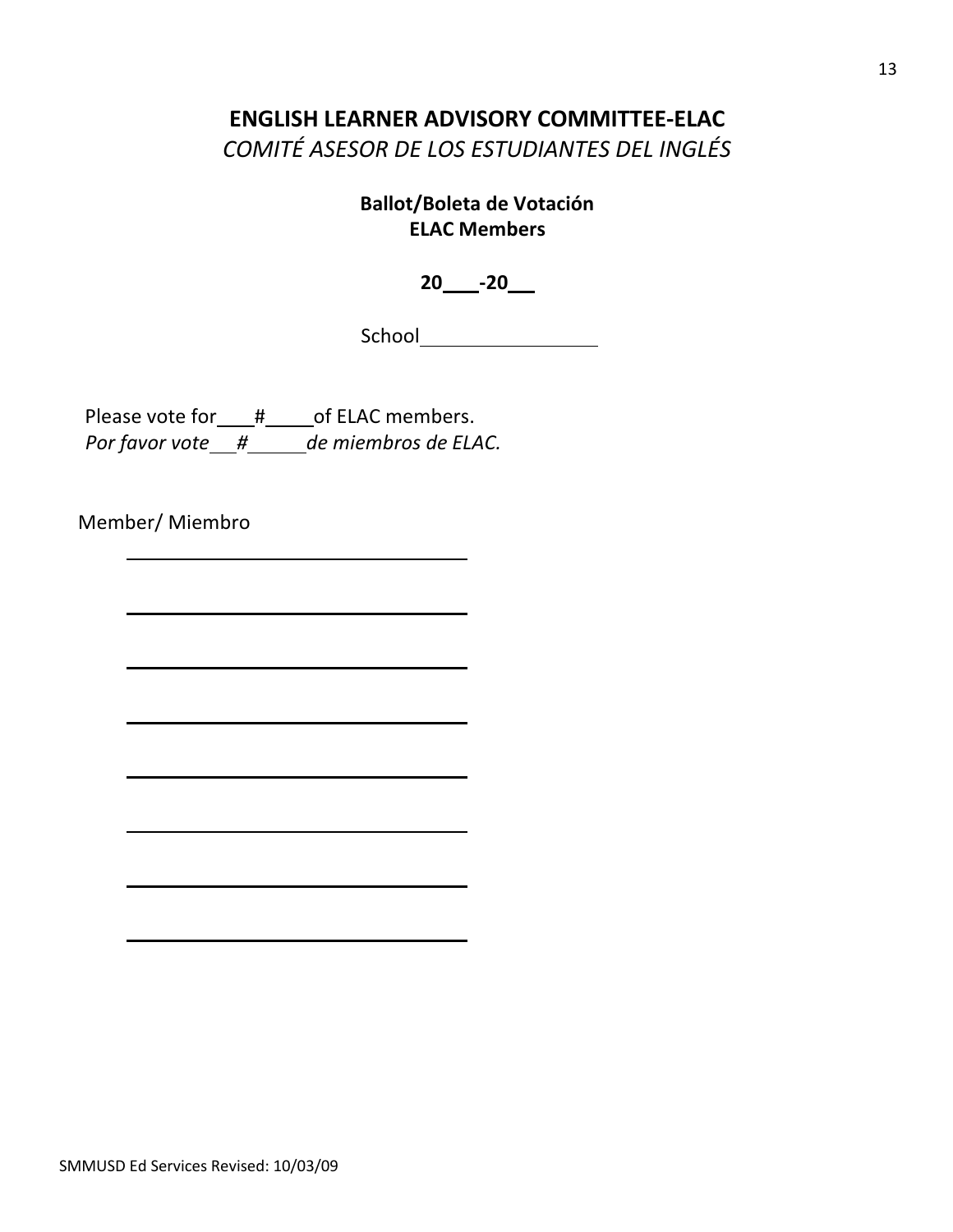## **ENGLISH LEARNER ADVISORY COMMITTEE-ELAC**

*COMITÉ ASESOR DE LOS ESTUDIANTES DEL INGLÉS*

**Ballot/Boleta de Votación ELAC Members** 

**20 -20**

School

Please vote for\_\_\_#\_\_\_\_\_ of ELAC members. *Por favor vote # de miembros de ELAC.*

Member/ Miembro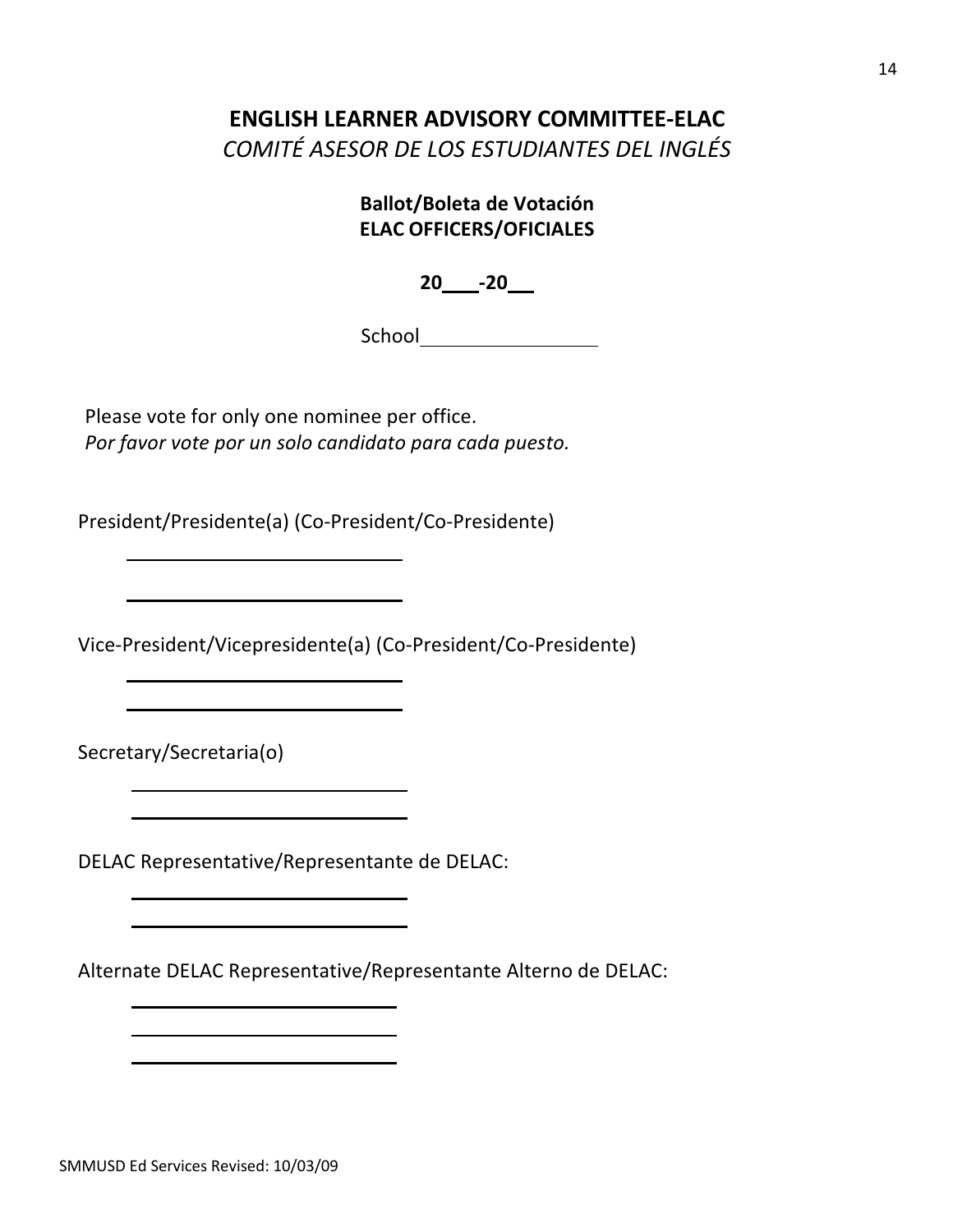## **ENGLISH LEARNER ADVISORY COMMITTEE-ELAC**

*COMITÉ ASESOR DE LOS ESTUDIANTES DEL INGLÉS*

## **Ballot/Boleta de Votación ELAC OFFICERS/OFICIALES**

**20 -20**

School **School** 

Please vote for only one nominee per office. *Por favor vote por un solo candidato para cada puesto.*

President/Presidente(a) (Co-President/Co-Presidente)

Vice-President/Vicepresidente(a) (Co-President/Co-Presidente)

Secretary/Secretaria(o)

DELAC Representative/Representante de DELAC:

Alternate DELAC Representative/Representante Alterno de DELAC: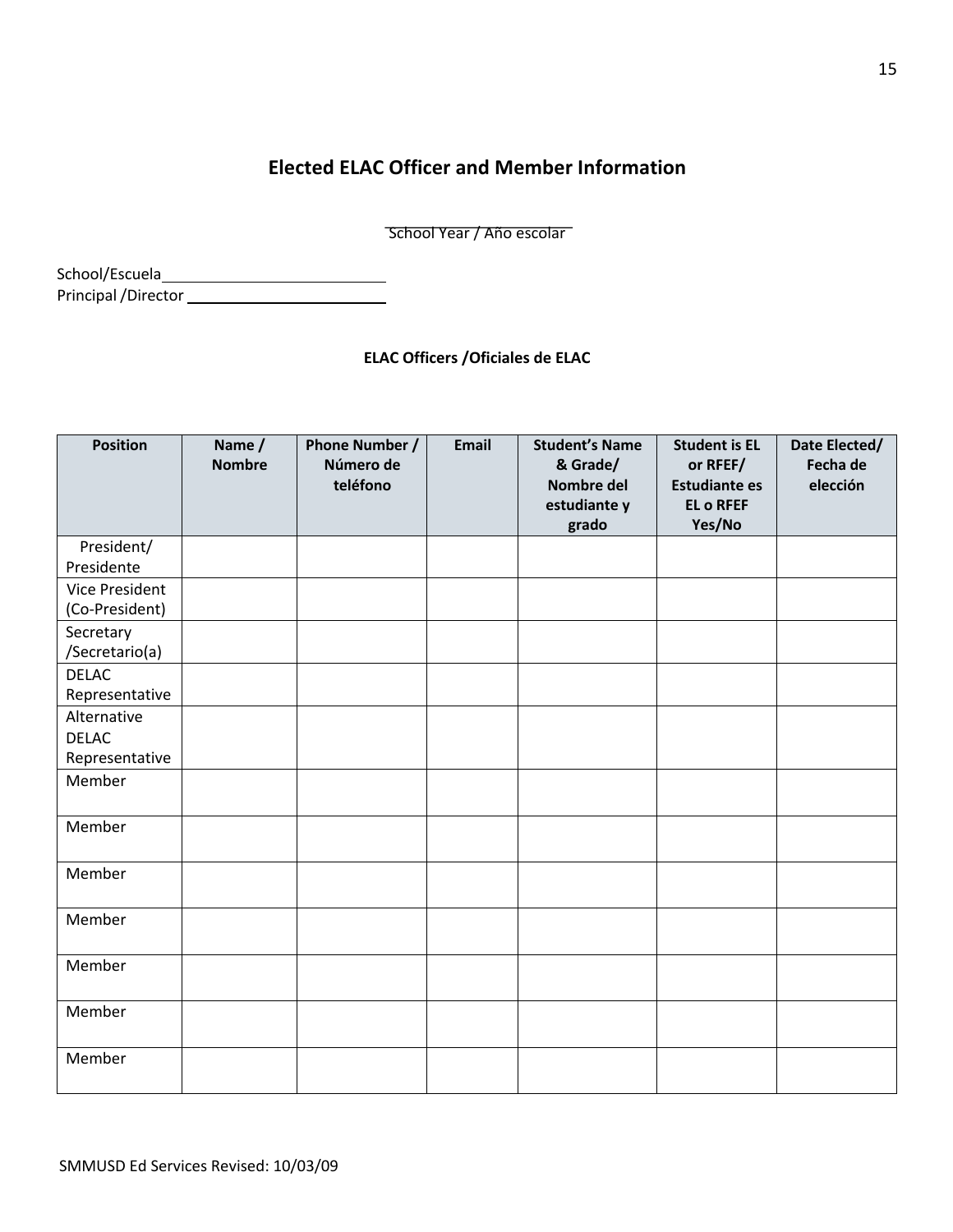## **Elected ELAC Officer and Member Information**

School Year / Año escolar

School/Escuela Principal/Director

**ELAC Officers /Oficiales de ELAC**

| <b>Position</b>                               | Name /<br><b>Nombre</b> | Phone Number /<br>Número de<br>teléfono | Email | <b>Student's Name</b><br>& Grade/<br>Nombre del<br>estudiante y<br>grado | <b>Student is EL</b><br>or RFEF/<br><b>Estudiante es</b><br><b>EL o RFEF</b><br>Yes/No | Date Elected/<br>Fecha de<br>elección |
|-----------------------------------------------|-------------------------|-----------------------------------------|-------|--------------------------------------------------------------------------|----------------------------------------------------------------------------------------|---------------------------------------|
| President/<br>Presidente                      |                         |                                         |       |                                                                          |                                                                                        |                                       |
| Vice President<br>(Co-President)              |                         |                                         |       |                                                                          |                                                                                        |                                       |
| Secretary<br>/Secretario(a)                   |                         |                                         |       |                                                                          |                                                                                        |                                       |
| <b>DELAC</b><br>Representative                |                         |                                         |       |                                                                          |                                                                                        |                                       |
| Alternative<br><b>DELAC</b><br>Representative |                         |                                         |       |                                                                          |                                                                                        |                                       |
| Member                                        |                         |                                         |       |                                                                          |                                                                                        |                                       |
| Member                                        |                         |                                         |       |                                                                          |                                                                                        |                                       |
| Member                                        |                         |                                         |       |                                                                          |                                                                                        |                                       |
| Member                                        |                         |                                         |       |                                                                          |                                                                                        |                                       |
| Member                                        |                         |                                         |       |                                                                          |                                                                                        |                                       |
| Member                                        |                         |                                         |       |                                                                          |                                                                                        |                                       |
| Member                                        |                         |                                         |       |                                                                          |                                                                                        |                                       |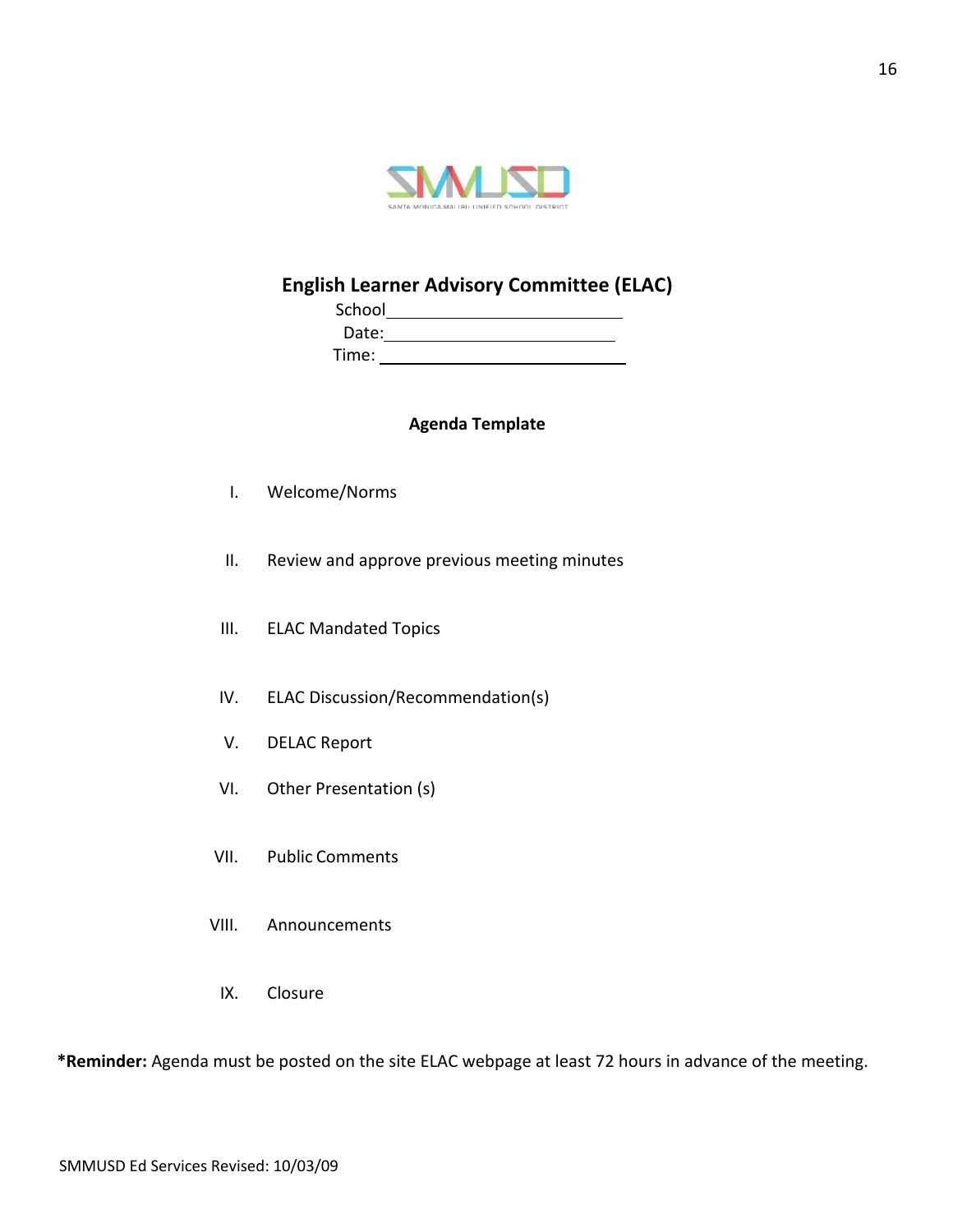

## **English Learner Advisory Committee (ELAC)**

| School |  |
|--------|--|
| Date:  |  |
| Time:  |  |

## **Agenda Template**

- I. Welcome/Norms
- II. Review and approve previous meeting minutes
- III. ELAC Mandated Topics
- IV. ELAC Discussion/Recommendation(s)
- V. DELAC Report
- VI. Other Presentation (s)
- VII. Public Comments
- VIII. Announcements
	- IX. Closure

**\*Reminder:** Agenda must be posted on the site ELAC webpage at least 72 hours in advance of the meeting.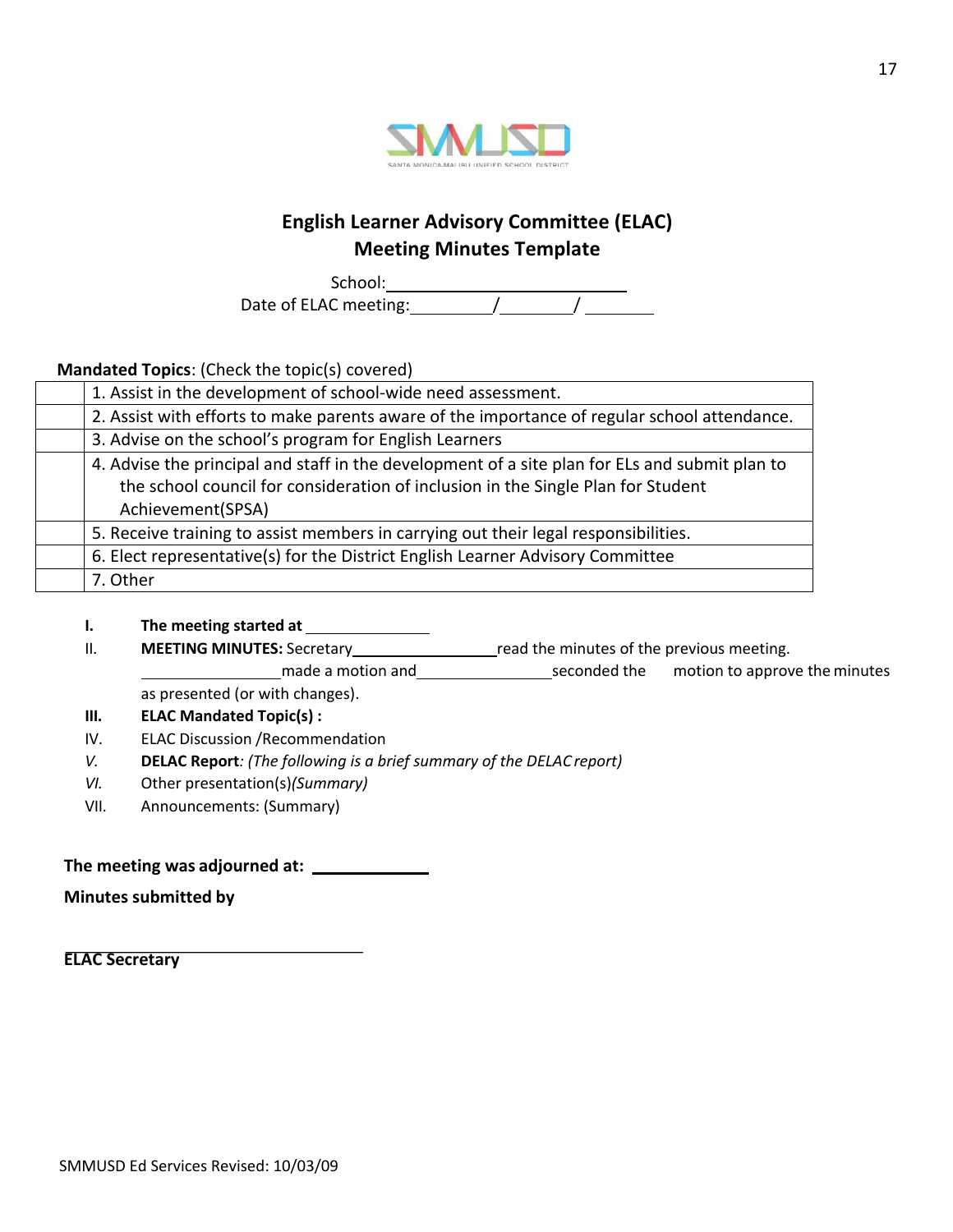

## **English Learner Advisory Committee (ELAC) Meeting Minutes Template**

School: Date of ELAC meeting: / /

**Mandated Topics**: (Check the topic(s) covered)

| 1. Assist in the development of school-wide need assessment.                                                                                                                                            |
|---------------------------------------------------------------------------------------------------------------------------------------------------------------------------------------------------------|
| 2. Assist with efforts to make parents aware of the importance of regular school attendance.                                                                                                            |
| 3. Advise on the school's program for English Learners                                                                                                                                                  |
| 4. Advise the principal and staff in the development of a site plan for ELs and submit plan to<br>the school council for consideration of inclusion in the Single Plan for Student<br>Achievement(SPSA) |
| 5. Receive training to assist members in carrying out their legal responsibilities.                                                                                                                     |
| 6. Elect representative(s) for the District English Learner Advisory Committee                                                                                                                          |
| 7. Other                                                                                                                                                                                                |

- **I. The meeting started at**
- II. **MEETING MINUTES:** Secretary read the minutes of the previous meeting.
	- made a motion and seconded the motion to approve the minutes as presented (or with changes).
- **III. ELAC Mandated Topic(s) :**
- IV. ELAC Discussion /Recommendation
- *V.* **DELAC Report***: (The following is a brief summary of the DELAC report)*
- *VI.* Other presentation(s)*(Summary)*
- VII. Announcements: (Summary)

## **The meeting was adjourned at:**

**Minutes submitted by**

**ELAC Secretary**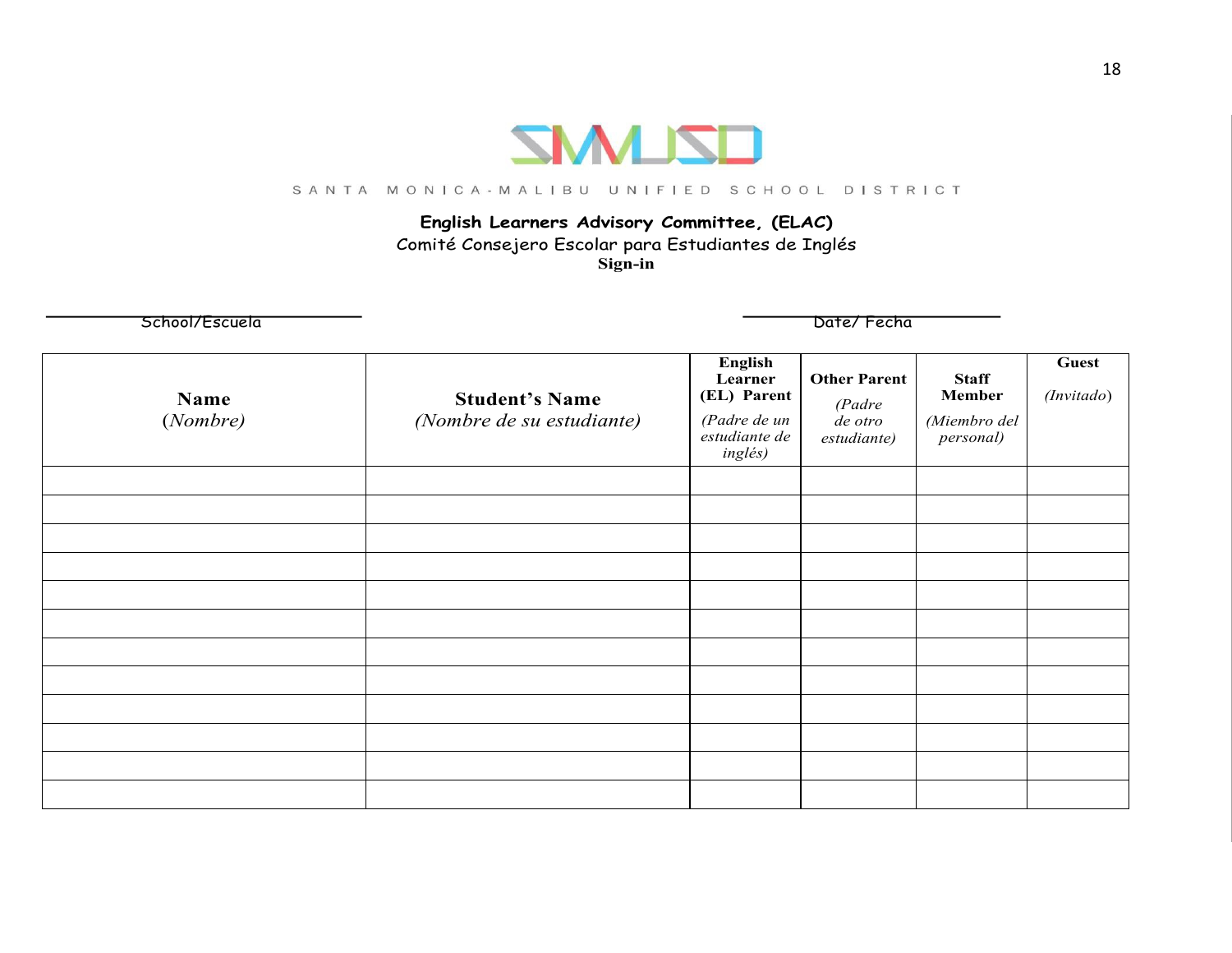

#### SANTA MONICA-MALIBU UNIFIED SCHOOL DISTRICT

## **English Learners Advisory Committee, (ELAC)**

Comité Consejero Escolar para Estudiantes de Inglés **Sign-in**

School/Escuela Date/ Fecha

| Name<br>(Nombre) | <b>Student's Name</b><br>(Nombre de su estudiante) | <b>English</b><br>Learner<br>(EL) Parent<br>(Padre de un<br>estudiante de<br>inglés) | <b>Other Parent</b><br>(Padre<br>de otro<br>estudiante) | <b>Staff</b><br><b>Member</b><br>(Miembro del<br>personal) | <b>Guest</b><br>(Invitado) |
|------------------|----------------------------------------------------|--------------------------------------------------------------------------------------|---------------------------------------------------------|------------------------------------------------------------|----------------------------|
|                  |                                                    |                                                                                      |                                                         |                                                            |                            |
|                  |                                                    |                                                                                      |                                                         |                                                            |                            |
|                  |                                                    |                                                                                      |                                                         |                                                            |                            |
|                  |                                                    |                                                                                      |                                                         |                                                            |                            |
|                  |                                                    |                                                                                      |                                                         |                                                            |                            |
|                  |                                                    |                                                                                      |                                                         |                                                            |                            |
|                  |                                                    |                                                                                      |                                                         |                                                            |                            |
|                  |                                                    |                                                                                      |                                                         |                                                            |                            |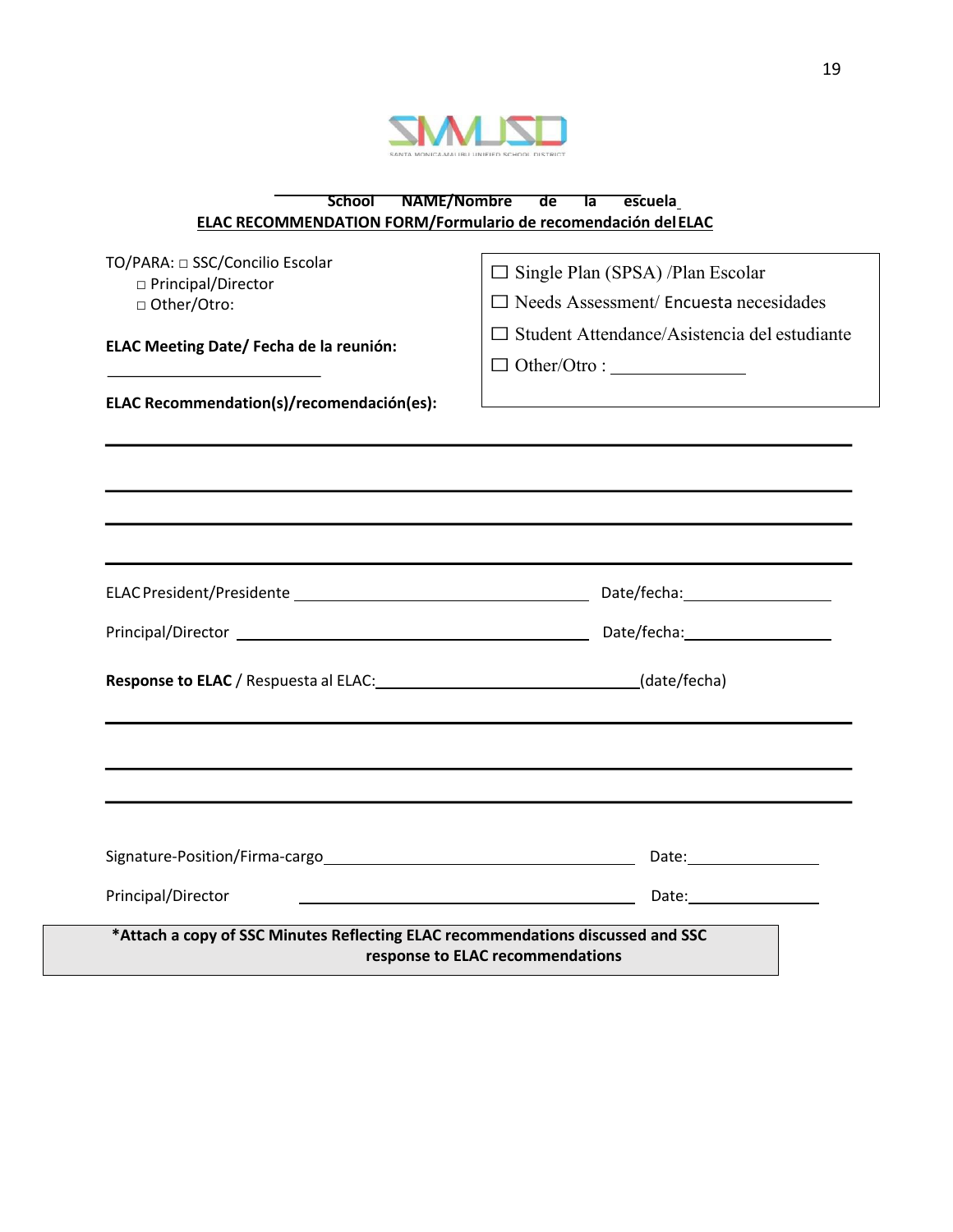

| <b>NAME/Nombre</b><br><b>School</b><br>de<br>Ta<br>escuela                      |                                                     |  |  |  |  |
|---------------------------------------------------------------------------------|-----------------------------------------------------|--|--|--|--|
| ELAC RECOMMENDATION FORM/Formulario de recomendación del ELAC                   |                                                     |  |  |  |  |
|                                                                                 |                                                     |  |  |  |  |
| TO/PARA: □ SSC/Concilio Escolar                                                 | $\Box$ Single Plan (SPSA) /Plan Escolar             |  |  |  |  |
| □ Principal/Director                                                            |                                                     |  |  |  |  |
| □ Other/Otro:                                                                   | $\Box$ Needs Assessment/ Encuesta necesidades       |  |  |  |  |
|                                                                                 | $\Box$ Student Attendance/Asistencia del estudiante |  |  |  |  |
| ELAC Meeting Date/ Fecha de la reunión:                                         |                                                     |  |  |  |  |
|                                                                                 |                                                     |  |  |  |  |
| ELAC Recommendation(s)/recomendación(es):                                       |                                                     |  |  |  |  |
|                                                                                 |                                                     |  |  |  |  |
|                                                                                 |                                                     |  |  |  |  |
|                                                                                 |                                                     |  |  |  |  |
|                                                                                 |                                                     |  |  |  |  |
|                                                                                 |                                                     |  |  |  |  |
|                                                                                 |                                                     |  |  |  |  |
|                                                                                 |                                                     |  |  |  |  |
|                                                                                 |                                                     |  |  |  |  |
|                                                                                 |                                                     |  |  |  |  |
|                                                                                 |                                                     |  |  |  |  |
|                                                                                 |                                                     |  |  |  |  |
| Response to ELAC / Respuesta al ELAC: (date/fecha)                              |                                                     |  |  |  |  |
|                                                                                 |                                                     |  |  |  |  |
|                                                                                 |                                                     |  |  |  |  |
|                                                                                 |                                                     |  |  |  |  |
|                                                                                 |                                                     |  |  |  |  |
|                                                                                 |                                                     |  |  |  |  |
|                                                                                 |                                                     |  |  |  |  |
|                                                                                 |                                                     |  |  |  |  |
|                                                                                 |                                                     |  |  |  |  |
| Principal/Director                                                              | Date: Date:                                         |  |  |  |  |
|                                                                                 |                                                     |  |  |  |  |
| *Attach a copy of SSC Minutes Reflecting ELAC recommendations discussed and SSC |                                                     |  |  |  |  |
|                                                                                 | response to ELAC recommendations                    |  |  |  |  |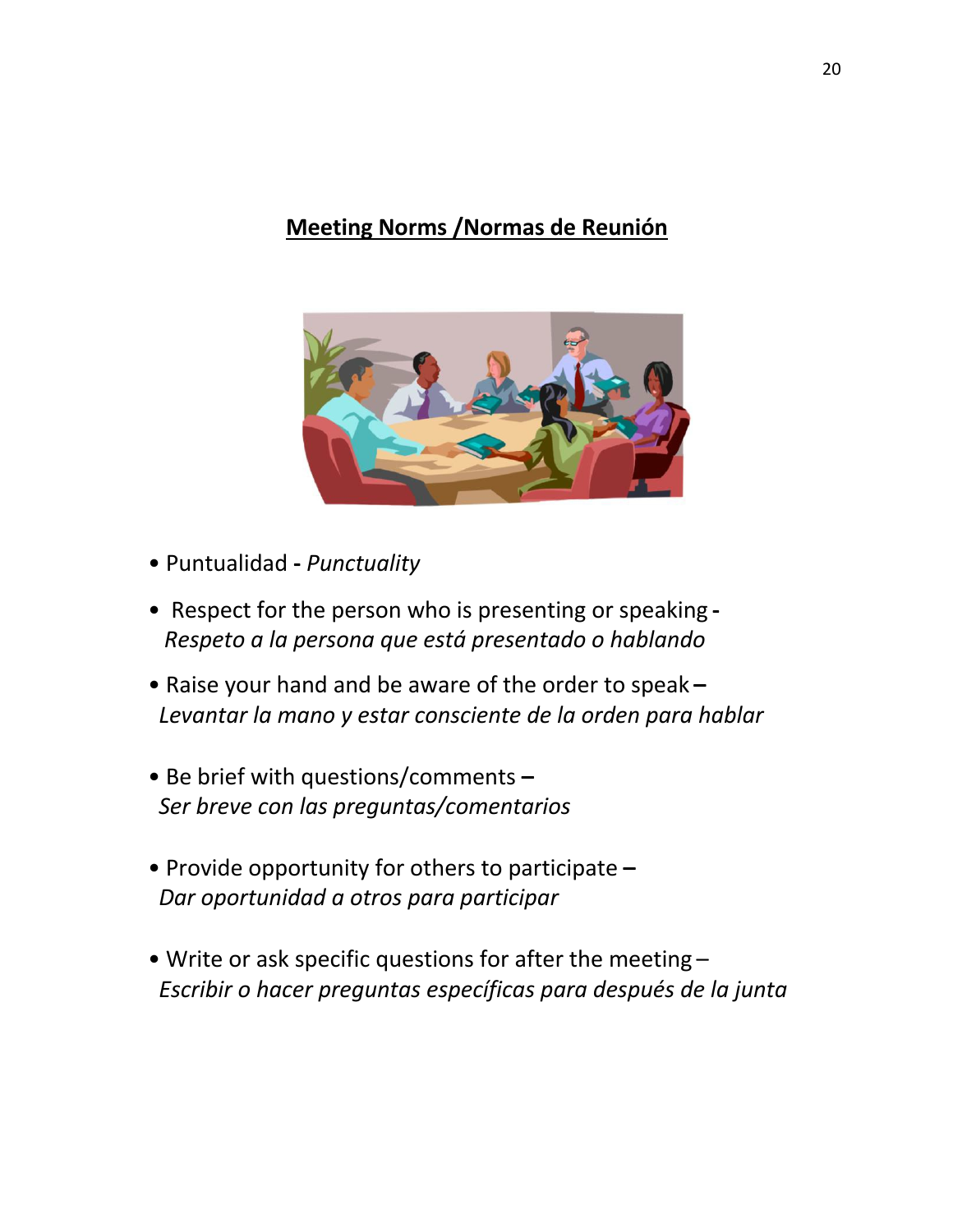## **Meeting Norms /Normas de Reunión**



- Puntualidad **-** *Punctuality*
- Respect for the person who is presenting or speaking **-** *Respeto a la persona que está presentado o hablando*
- Raise your hand and be aware of the order to speak **–** *Levantar la mano y estar consciente de la orden para hablar*
- Be brief with questions/comments **–** *Ser breve con las preguntas/comentarios*
- Provide opportunity for others to participate **–** *Dar oportunidad a otros para participar*
- Write or ask specific questions for after the meeting *Escribir o hacer preguntas específicas para después de la junta*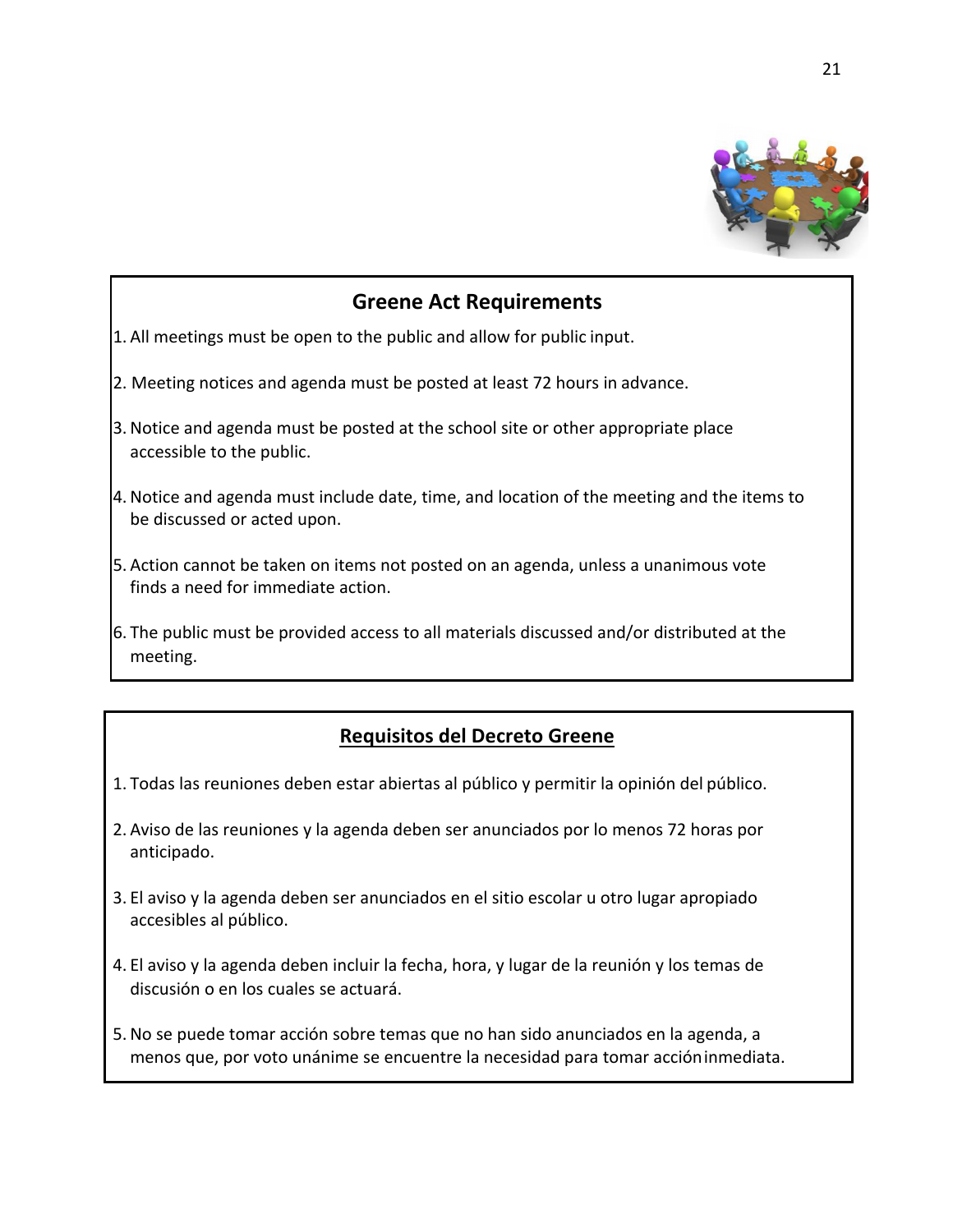

## **Greene Act Requirements**

- 1. All meetings must be open to the public and allow for public input.
- 2. Meeting notices and agenda must be posted at least 72 hours in advance.
- 3. Notice and agenda must be posted at the school site or other appropriate place accessible to the public.
- 4. Notice and agenda must include date, time, and location of the meeting and the items to be discussed or acted upon.
- 5. Action cannot be taken on items not posted on an agenda, unless a unanimous vote finds a need for immediate action.
- 6. The public must be provided access to all materials discussed and/or distributed at the meeting.

## **Requisitos del Decreto Greene**

- 1. Todas las reuniones deben estar abiertas al público y permitir la opinión del público.
- 2. Aviso de las reuniones y la agenda deben ser anunciados por lo menos 72 horas por anticipado.
- 3. El aviso y la agenda deben ser anunciados en el sitio escolar u otro lugar apropiado accesibles al público.
- 4. El aviso y la agenda deben incluir la fecha, hora, y lugar de la reunión y los temas de discusión o en los cuales se actuará.
- 5. No se puede tomar acción sobre temas que no han sido anunciados en la agenda, a menos que, por voto unánime se encuentre la necesidad para tomar accióninmediata.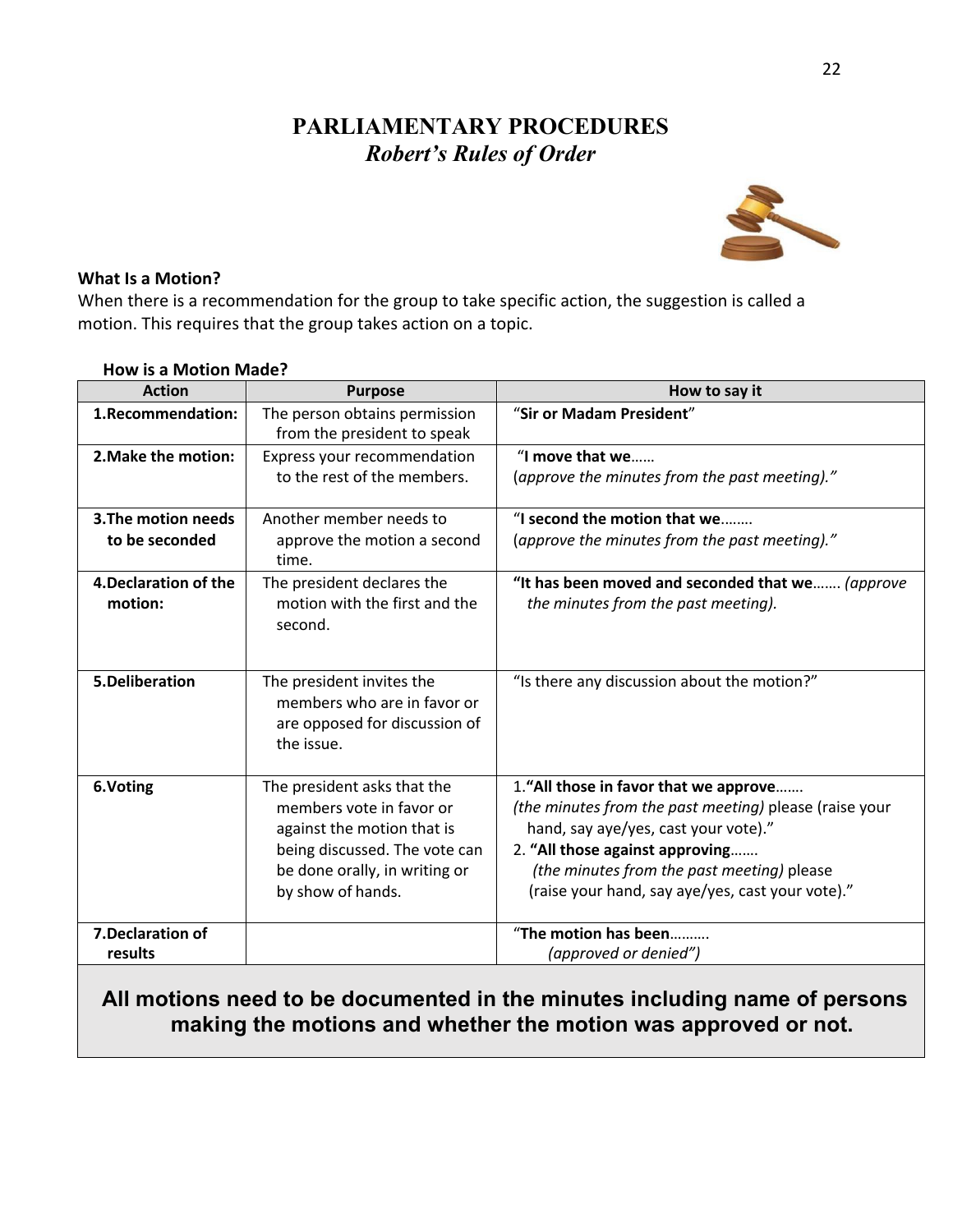## **PARLIAMENTARY PROCEDURES** *Robert's Rules of Order*



## **What Is a Motion?**

When there is a recommendation for the group to take specific action, the suggestion is called a motion. This requires that the group takes action on a topic.

| <b>Action</b>                         | <b>Purpose</b>                                                                                                                                                               | How to say it                                                                                                                                                                                                                                                                |
|---------------------------------------|------------------------------------------------------------------------------------------------------------------------------------------------------------------------------|------------------------------------------------------------------------------------------------------------------------------------------------------------------------------------------------------------------------------------------------------------------------------|
| 1.Recommendation:                     | The person obtains permission<br>from the president to speak                                                                                                                 | "Sir or Madam President"                                                                                                                                                                                                                                                     |
| 2. Make the motion:                   | Express your recommendation<br>to the rest of the members.                                                                                                                   | "I move that we<br>(approve the minutes from the past meeting)."                                                                                                                                                                                                             |
| 3. The motion needs<br>to be seconded | Another member needs to<br>approve the motion a second<br>time.                                                                                                              | "I second the motion that we<br>(approve the minutes from the past meeting)."                                                                                                                                                                                                |
| 4. Declaration of the<br>motion:      | The president declares the<br>motion with the first and the<br>second.                                                                                                       | "It has been moved and seconded that we (approve<br>the minutes from the past meeting).                                                                                                                                                                                      |
| 5.Deliberation                        | The president invites the<br>members who are in favor or<br>are opposed for discussion of<br>the issue.                                                                      | "Is there any discussion about the motion?"                                                                                                                                                                                                                                  |
| 6.Voting                              | The president asks that the<br>members vote in favor or<br>against the motion that is<br>being discussed. The vote can<br>be done orally, in writing or<br>by show of hands. | 1."All those in favor that we approve<br>(the minutes from the past meeting) please (raise your<br>hand, say aye/yes, cast your vote)."<br>2. "All those against approving<br>(the minutes from the past meeting) please<br>(raise your hand, say aye/yes, cast your vote)." |
| 7. Declaration of<br>results          |                                                                                                                                                                              | "The motion has been<br>(approved or denied")                                                                                                                                                                                                                                |

## **How is a Motion Made?**

## **All motions need to be documented in the minutes including name of persons making the motions and whether the motion was approved or not.**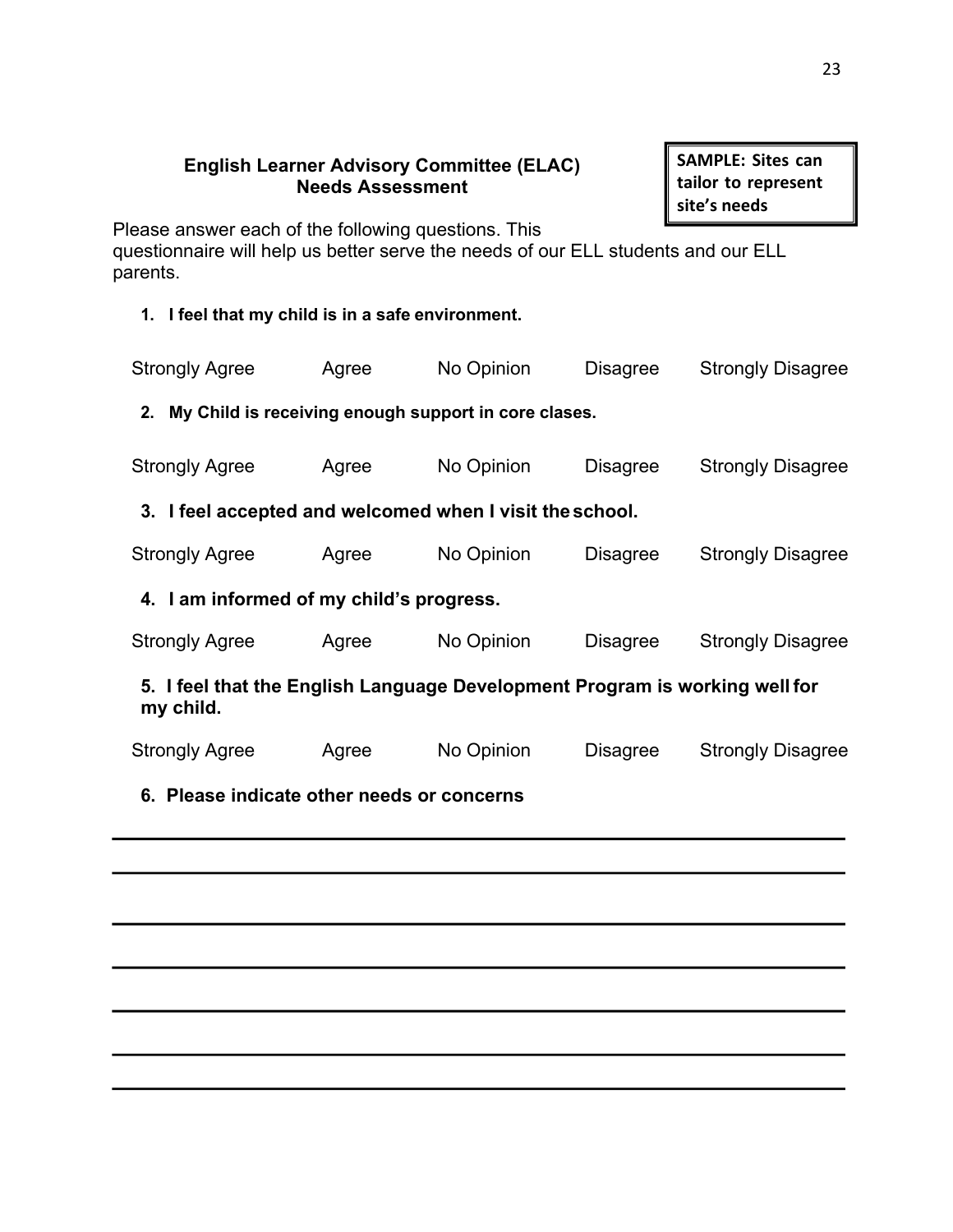## **English Learner Advisory Committee (ELAC) Needs Assessment**

**SAMPLE: Sites can tailor to represent site's needs**

Please answer each of the following questions. This

questionnaire will help us better serve the needs of our ELL students and our ELL parents.

**1. I feel that my child is in a safe environment.**

| <b>Strongly Agree</b>                                                                    | Agree | No Opinion | <b>Disagree</b> | <b>Strongly Disagree</b> |  |
|------------------------------------------------------------------------------------------|-------|------------|-----------------|--------------------------|--|
| 2. My Child is receiving enough support in core clases.                                  |       |            |                 |                          |  |
| <b>Strongly Agree</b>                                                                    | Agree | No Opinion | <b>Disagree</b> | <b>Strongly Disagree</b> |  |
| 3. I feel accepted and welcomed when I visit the school.                                 |       |            |                 |                          |  |
| <b>Strongly Agree</b>                                                                    | Agree | No Opinion | <b>Disagree</b> | <b>Strongly Disagree</b> |  |
| 4. I am informed of my child's progress.                                                 |       |            |                 |                          |  |
| <b>Strongly Agree</b>                                                                    | Agree | No Opinion | <b>Disagree</b> | <b>Strongly Disagree</b> |  |
| 5. I feel that the English Language Development Program is working well for<br>my child. |       |            |                 |                          |  |
| <b>Strongly Agree</b>                                                                    | Agree | No Opinion | <b>Disagree</b> | <b>Strongly Disagree</b> |  |
| 6. Please indicate other needs or concerns                                               |       |            |                 |                          |  |
|                                                                                          |       |            |                 |                          |  |
|                                                                                          |       |            |                 |                          |  |
|                                                                                          |       |            |                 |                          |  |
|                                                                                          |       |            |                 |                          |  |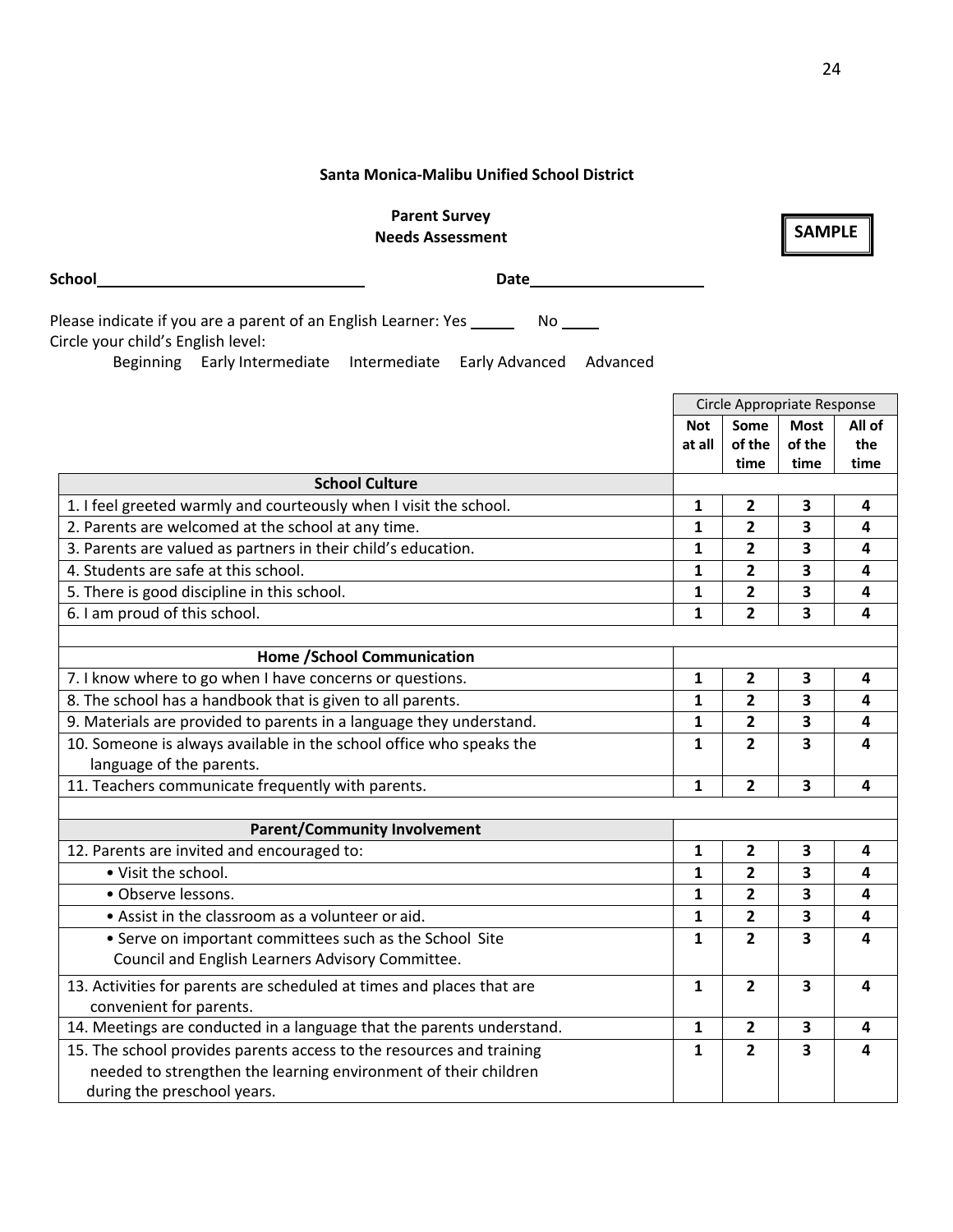#### **Santa Monica-Malibu Unified School District**

**Parent Survey Needs Assessment**

**School Date**

during the preschool years.

| Please indicate if you are a parent of an English Learner: Yes _____<br>No lot in the set of the set of the set of the set of the set of the set of the set of the set of the set of the set of the set of the set of the set of the set of the set of the set of the set of the set of the set of the |              |                             |             |        |
|--------------------------------------------------------------------------------------------------------------------------------------------------------------------------------------------------------------------------------------------------------------------------------------------------------|--------------|-----------------------------|-------------|--------|
| Circle your child's English level:<br>Beginning Early Intermediate<br>Intermediate<br>Early Advanced<br>Advanced                                                                                                                                                                                       |              |                             |             |        |
|                                                                                                                                                                                                                                                                                                        |              |                             |             |        |
|                                                                                                                                                                                                                                                                                                        |              | Circle Appropriate Response |             |        |
|                                                                                                                                                                                                                                                                                                        | <b>Not</b>   | Some                        | <b>Most</b> | All of |
|                                                                                                                                                                                                                                                                                                        | at all       | of the                      | of the      | the    |
|                                                                                                                                                                                                                                                                                                        |              | time                        | time        | time   |
| <b>School Culture</b>                                                                                                                                                                                                                                                                                  |              |                             |             |        |
| 1. I feel greeted warmly and courteously when I visit the school.                                                                                                                                                                                                                                      | $\mathbf{1}$ | $\overline{2}$              | 3           | 4      |
| 2. Parents are welcomed at the school at any time.                                                                                                                                                                                                                                                     | $\mathbf{1}$ | $\overline{2}$              | 3           | 4      |
| 3. Parents are valued as partners in their child's education.                                                                                                                                                                                                                                          | $\mathbf{1}$ | $\overline{2}$              | 3           | 4      |
| 4. Students are safe at this school.                                                                                                                                                                                                                                                                   | $\mathbf{1}$ | 2                           | 3           | 4      |
| 5. There is good discipline in this school.                                                                                                                                                                                                                                                            | $\mathbf{1}$ | $\mathbf{2}$                | 3           | 4      |
| 6. I am proud of this school.                                                                                                                                                                                                                                                                          | 1            | $\mathbf{2}$                | 3           | 4      |
|                                                                                                                                                                                                                                                                                                        |              |                             |             |        |
| <b>Home /School Communication</b>                                                                                                                                                                                                                                                                      |              |                             |             |        |
| 7. I know where to go when I have concerns or questions.                                                                                                                                                                                                                                               | $\mathbf{1}$ | $\overline{2}$              | 3           | 4      |
| 8. The school has a handbook that is given to all parents.                                                                                                                                                                                                                                             | $\mathbf{1}$ | $\overline{2}$              | 3           | 4      |
| 9. Materials are provided to parents in a language they understand.                                                                                                                                                                                                                                    | $\mathbf{1}$ | 2                           | 3           | 4      |
| 10. Someone is always available in the school office who speaks the                                                                                                                                                                                                                                    | $\mathbf{1}$ | $\overline{2}$              | 3           | 4      |
| language of the parents.                                                                                                                                                                                                                                                                               |              |                             |             |        |
| 11. Teachers communicate frequently with parents.                                                                                                                                                                                                                                                      | $\mathbf{1}$ | $\overline{2}$              | 3           | 4      |
|                                                                                                                                                                                                                                                                                                        |              |                             |             |        |
| <b>Parent/Community Involvement</b>                                                                                                                                                                                                                                                                    |              |                             |             |        |
| 12. Parents are invited and encouraged to:                                                                                                                                                                                                                                                             | 1            | $\mathbf{2}$                | 3           | 4      |
| • Visit the school.                                                                                                                                                                                                                                                                                    | 1            | 2                           | 3           | 4      |
| · Observe lessons.                                                                                                                                                                                                                                                                                     | 1            | 2                           | 3           | 4      |
| • Assist in the classroom as a volunteer or aid.                                                                                                                                                                                                                                                       | $\mathbf{1}$ | 2                           | 3           | 4      |
| • Serve on important committees such as the School Site                                                                                                                                                                                                                                                | 1            | $\overline{2}$              | 3           | 4      |
| Council and English Learners Advisory Committee.                                                                                                                                                                                                                                                       |              |                             |             |        |
| 13. Activities for parents are scheduled at times and places that are                                                                                                                                                                                                                                  | $\mathbf{1}$ | $\overline{2}$              | 3           | 4      |
| convenient for parents.                                                                                                                                                                                                                                                                                |              |                             |             |        |
| 14. Meetings are conducted in a language that the parents understand.                                                                                                                                                                                                                                  | $\mathbf{1}$ | 2                           | 3           | 4      |
| 15. The school provides parents access to the resources and training                                                                                                                                                                                                                                   | $\mathbf{1}$ | $\overline{2}$              | 3           | 4      |
| needed to strengthen the learning environment of their children                                                                                                                                                                                                                                        |              |                             |             |        |
|                                                                                                                                                                                                                                                                                                        |              |                             |             |        |

**SAMPLE**

24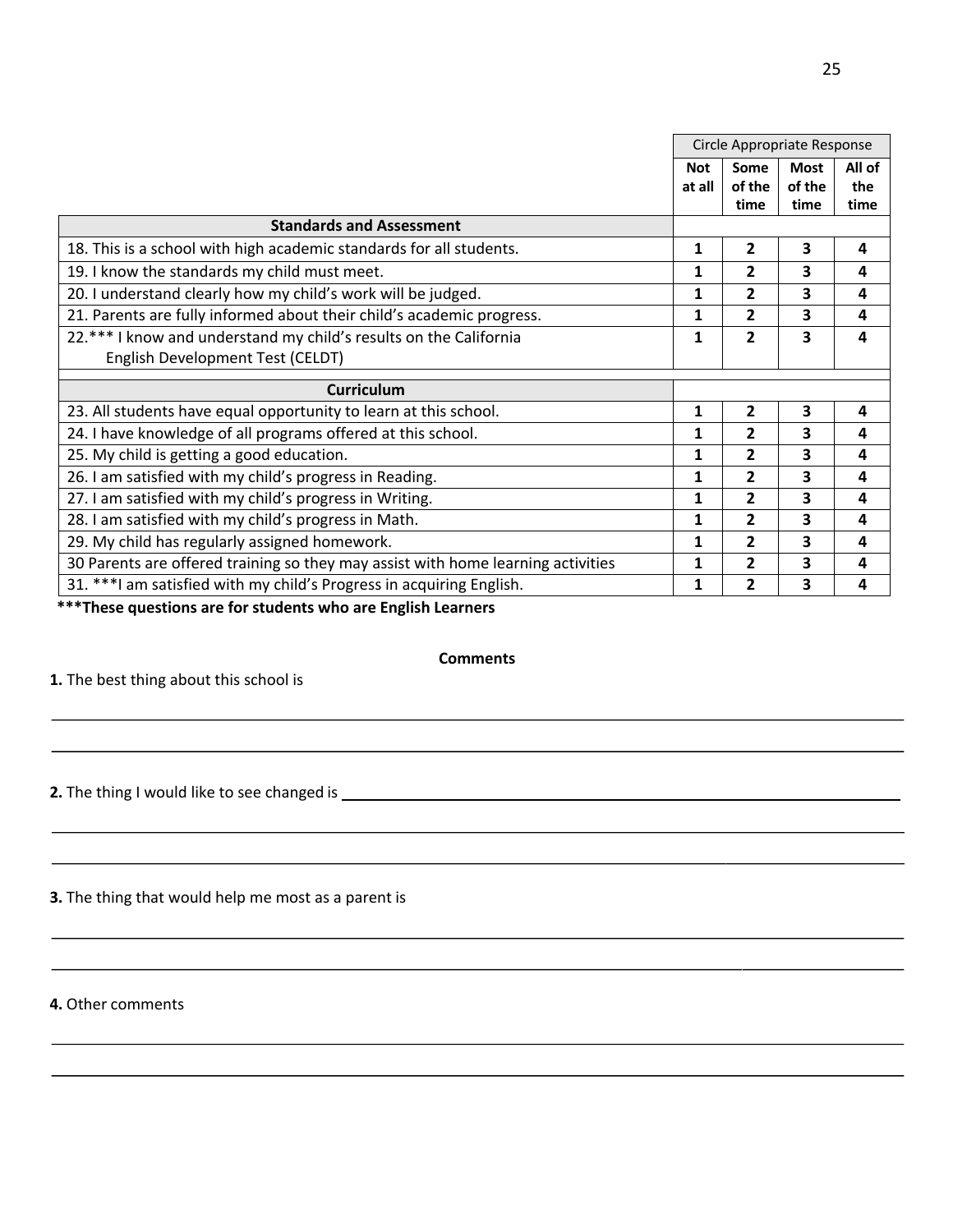|                                                                                  | Circle Appropriate Response |                        |                               |                       |
|----------------------------------------------------------------------------------|-----------------------------|------------------------|-------------------------------|-----------------------|
|                                                                                  | <b>Not</b><br>at all        | Some<br>of the<br>time | <b>Most</b><br>of the<br>time | All of<br>the<br>time |
| <b>Standards and Assessment</b>                                                  |                             |                        |                               |                       |
| 18. This is a school with high academic standards for all students.              | $\mathbf{1}$                | $\overline{2}$         | 3                             | 4                     |
| 19. I know the standards my child must meet.                                     | 1                           | $\overline{2}$         | 3                             | 4                     |
| 20. I understand clearly how my child's work will be judged.                     | 1                           | $\overline{2}$         | 3                             | 4                     |
| 21. Parents are fully informed about their child's academic progress.            | 1                           | 2                      | 3                             | 4                     |
| 22.*** I know and understand my child's results on the California                | $\mathbf{1}$                | $\overline{2}$         | 3                             | 4                     |
| English Development Test (CELDT)                                                 |                             |                        |                               |                       |
| <b>Curriculum</b>                                                                |                             |                        |                               |                       |
| 23. All students have equal opportunity to learn at this school.                 | 1                           | $\overline{2}$         | $\overline{\mathbf{3}}$       | 4                     |
| 24. I have knowledge of all programs offered at this school.                     | 1                           | 2                      | 3                             | 4                     |
| 25. My child is getting a good education.                                        | 1                           | 2                      | 3                             | 4                     |
| 26. I am satisfied with my child's progress in Reading.                          | 1                           | 2                      | 3                             | 4                     |
| 27. I am satisfied with my child's progress in Writing.                          | $\mathbf{1}$                | $\overline{2}$         | 3                             | 4                     |
| 28. I am satisfied with my child's progress in Math.                             | 1                           | $\overline{2}$         | 3                             | 4                     |
| 29. My child has regularly assigned homework.                                    | 1                           | 2                      | 3                             | 4                     |
| 30 Parents are offered training so they may assist with home learning activities | 1                           | $\overline{2}$         | 3                             | 4                     |
| 31. *** I am satisfied with my child's Progress in acquiring English.            | 1                           | 2                      | 3                             | 4                     |

**\*\*\*These questions are for students who are English Learners**

## **Comments**

**1.** The best thing about this school is

**2.** The thing I would like to see changed is

**3.** The thing that would help me most as a parent is

**4.** Other comments

 $\overline{\phantom{a}}$